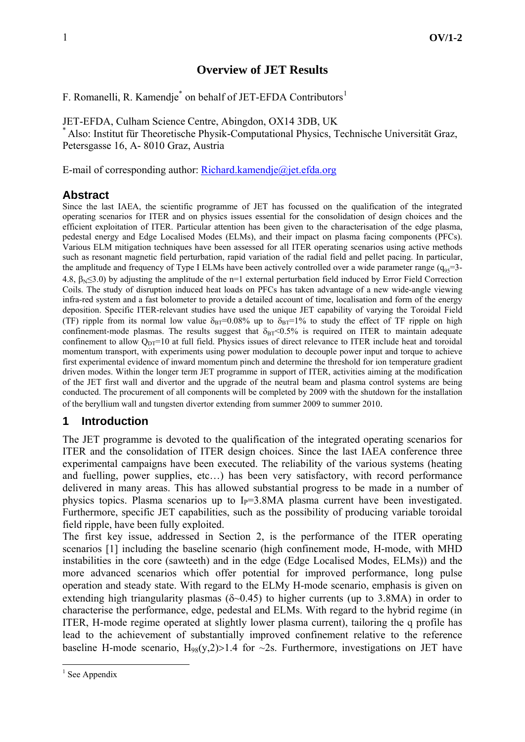### **Overview of JET Results**

F. Romanelli, R. Kamendje<sup>\*</sup> on behalf of JET-EFDA Contributors<sup>[1](#page-0-0)</sup>

JET-EFDA, Culham Science Centre, Abingdon, OX14 3DB, UK

\* Also: Institut für Theoretische Physik-Computational Physics, Technische Universität Graz, Petersgasse 16, A- 8010 Graz, Austria

E-mail of corresponding author: [Richard.kamendje@jet.efda.org](mailto:Richard.kamendje@jet.efda.org)

#### **Abstract**

Since the last IAEA, the scientific programme of JET has focussed on the qualification of the integrated operating scenarios for ITER and on physics issues essential for the consolidation of design choices and the efficient exploitation of ITER. Particular attention has been given to the characterisation of the edge plasma, pedestal energy and Edge Localised Modes (ELMs), and their impact on plasma facing components (PFCs). Various ELM mitigation techniques have been assessed for all ITER operating scenarios using active methods such as resonant magnetic field perturbation, rapid variation of the radial field and pellet pacing. In particular, the amplitude and frequency of Type I ELMs have been actively controlled over a wide parameter range  $(q_{95}=3-1)$ 4.8,  $B_N \le 3.0$ ) by adjusting the amplitude of the n=1 external perturbation field induced by Error Field Correction Coils. The study of disruption induced heat loads on PFCs has taken advantage of a new wide-angle viewing infra-red system and a fast bolometer to provide a detailed account of time, localisation and form of the energy deposition. Specific ITER-relevant studies have used the unique JET capability of varying the Toroidal Field (TF) ripple from its normal low value  $\delta_{\text{BT}}=0.08\%$  up to  $\delta_{\text{BT}}=1\%$  to study the effect of TF ripple on high confinement-mode plasmas. The results suggest that  $\delta_{\text{BT}}<0.5\%$  is required on ITER to maintain adequate confinement to allow  $Q_{DT}$ =10 at full field. Physics issues of direct relevance to ITER include heat and toroidal momentum transport, with experiments using power modulation to decouple power input and torque to achieve first experimental evidence of inward momentum pinch and determine the threshold for ion temperature gradient driven modes. Within the longer term JET programme in support of ITER, activities aiming at the modification of the JET first wall and divertor and the upgrade of the neutral beam and plasma control systems are being conducted. The procurement of all components will be completed by 2009 with the shutdown for the installation of the beryllium wall and tungsten divertor extending from summer 2009 to summer 2010.

#### **1 Introduction**

The JET programme is devoted to the qualification of the integrated operating scenarios for ITER and the consolidation of ITER design choices. Since the last IAEA conference three experimental campaigns have been executed. The reliability of the various systems (heating and fuelling, power supplies, etc…) has been very satisfactory, with record performance delivered in many areas. This has allowed substantial progress to be made in a number of physics topics. Plasma scenarios up to  $I_P = 3.8MA$  plasma current have been investigated. Furthermore, specific JET capabilities, such as the possibility of producing variable toroidal field ripple, have been fully exploited.

The first key issue, addressed in Section 2, is the performance of the ITER operating scenarios [1] including the baseline scenario (high confinement mode, H-mode, with MHD instabilities in the core (sawteeth) and in the edge (Edge Localised Modes, ELMs)) and the more advanced scenarios which offer potential for improved performance, long pulse operation and steady state. With regard to the ELMy H-mode scenario, emphasis is given on extending high triangularity plasmas ( $\delta$ ~0.45) to higher currents (up to 3.8MA) in order to characterise the performance, edge, pedestal and ELMs. With regard to the hybrid regime (in ITER, H-mode regime operated at slightly lower plasma current), tailoring the q profile has lead to the achievement of substantially improved confinement relative to the reference baseline H-mode scenario,  $H_{98}(y,2) > 1.4$  for  $\sim$ 2s. Furthermore, investigations on JET have

1

<span id="page-0-0"></span> $<sup>1</sup>$  See Appendix</sup>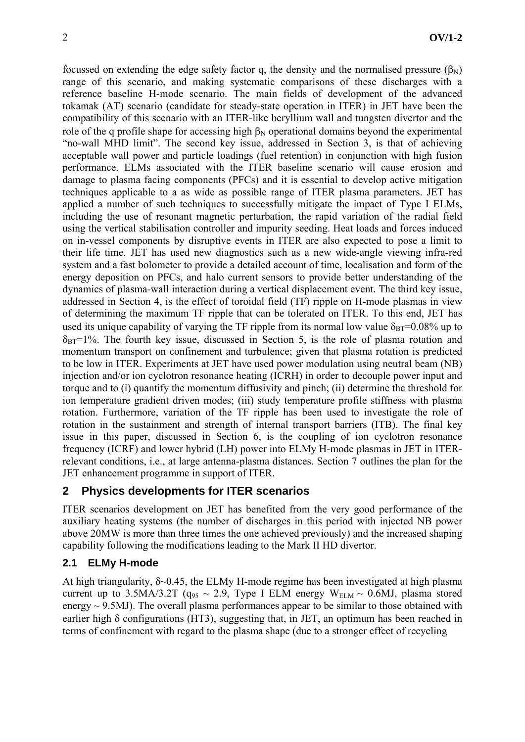focussed on extending the edge safety factor q, the density and the normalised pressure  $(\beta_N)$ range of this scenario, and making systematic comparisons of these discharges with a reference baseline H-mode scenario. The main fields of development of the advanced tokamak (AT) scenario (candidate for steady-state operation in ITER) in JET have been the compatibility of this scenario with an ITER-like beryllium wall and tungsten divertor and the role of the q profile shape for accessing high  $\beta_N$  operational domains beyond the experimental "no-wall MHD limit". The second key issue, addressed in Section 3, is that of achieving acceptable wall power and particle loadings (fuel retention) in conjunction with high fusion performance. ELMs associated with the ITER baseline scenario will cause erosion and damage to plasma facing components (PFCs) and it is essential to develop active mitigation techniques applicable to a as wide as possible range of ITER plasma parameters. JET has applied a number of such techniques to successfully mitigate the impact of Type I ELMs, including the use of resonant magnetic perturbation, the rapid variation of the radial field using the vertical stabilisation controller and impurity seeding. Heat loads and forces induced on in-vessel components by disruptive events in ITER are also expected to pose a limit to their life time. JET has used new diagnostics such as a new wide-angle viewing infra-red system and a fast bolometer to provide a detailed account of time, localisation and form of the energy deposition on PFCs, and halo current sensors to provide better understanding of the dynamics of plasma-wall interaction during a vertical displacement event. The third key issue, addressed in Section 4, is the effect of toroidal field (TF) ripple on H-mode plasmas in view of determining the maximum TF ripple that can be tolerated on ITER. To this end, JET has used its unique capability of varying the TF ripple from its normal low value  $\delta_{\text{BT}}=0.08\%$  up to  $\delta_{\text{BT}}=1\%$ . The fourth key issue, discussed in Section 5, is the role of plasma rotation and momentum transport on confinement and turbulence; given that plasma rotation is predicted to be low in ITER. Experiments at JET have used power modulation using neutral beam (NB) injection and/or ion cyclotron resonance heating (ICRH) in order to decouple power input and torque and to (i) quantify the momentum diffusivity and pinch; (ii) determine the threshold for ion temperature gradient driven modes; (iii) study temperature profile stiffness with plasma rotation. Furthermore, variation of the TF ripple has been used to investigate the role of rotation in the sustainment and strength of internal transport barriers (ITB). The final key issue in this paper, discussed in Section 6, is the coupling of ion cyclotron resonance frequency (ICRF) and lower hybrid (LH) power into ELMy H-mode plasmas in JET in ITERrelevant conditions, i.e., at large antenna-plasma distances. Section 7 outlines the plan for the JET enhancement programme in support of ITER.

#### **2 Physics developments for ITER scenarios**

ITER scenarios development on JET has benefited from the very good performance of the auxiliary heating systems (the number of discharges in this period with injected NB power above 20MW is more than three times the one achieved previously) and the increased shaping capability following the modifications leading to the Mark II HD divertor.

#### **2.1 ELMy H-mode**

At high triangularity, δ~0.45, the ELMy H-mode regime has been investigated at high plasma current up to 3.5MA/3.2T ( $q_{95} \sim 2.9$ , Type I ELM energy  $W_{ELM} \sim 0.6 MJ$ , plasma stored energy  $\sim$  9.5MJ). The overall plasma performances appear to be similar to those obtained with earlier high  $\delta$  configurations (HT3), suggesting that, in JET, an optimum has been reached in terms of confinement with regard to the plasma shape (due to a stronger effect of recycling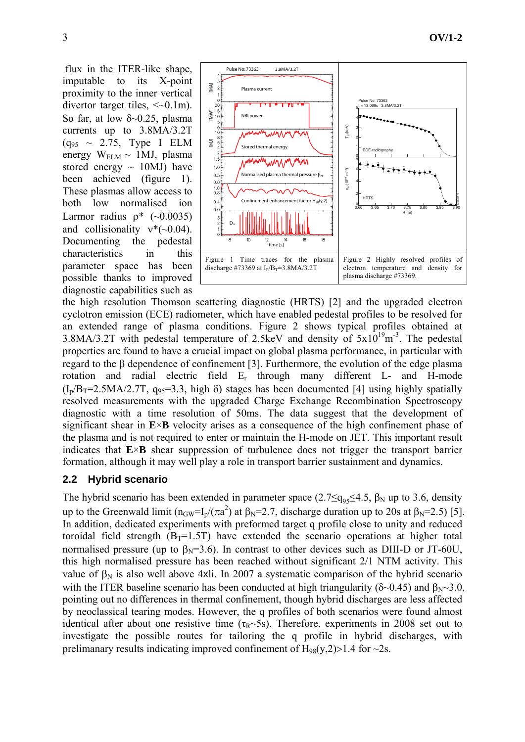flux in the ITER-like shape, imputable to its X-point proximity to the inner vertical divertor target tiles,  $\leq 0.1$ m). So far, at low  $\delta \sim 0.25$ , plasma currents up to 3.8MA/3.2T  $(q_{95} \sim 2.75$ , Type I ELM energy  $W_{ELM} \sim 1MJ$ , plasma stored energy  $\sim 10MJ$ ) have been achieved (figure 1). These plasmas allow access to both low normalised ion Larmor radius  $\rho^*$  (~0.0035) and collisionality  $v*(-0.04)$ . Documenting the pedestal characteristics in this parameter space has been possible thanks to improved diagnostic capabilities such as



the high resolution Thomson scattering diagnostic (HRTS) [2] and the upgraded electron cyclotron emission (ECE) radiometer, which have enabled pedestal profiles to be resolved for an extended range of plasma conditions. Figure 2 shows typical profiles obtained at 3.8MA/3.2T with pedestal temperature of 2.5keV and density of  $5x10^{19}$ m<sup>-3</sup>. The pedestal properties are found to have a crucial impact on global plasma performance, in particular with regard to the β dependence of confinement [3]. Furthermore, the evolution of the edge plasma rotation and radial electric field Er through many different L- and H-mode  $(I_p/B_T=2.5MA/2.7T, q_{95}=3.3, high \delta)$  stages has been documented [4] using highly spatially resolved measurements with the upgraded Charge Exchange Recombination Spectroscopy diagnostic with a time resolution of 50ms. The data suggest that the development of significant shear in **E**×**B** velocity arises as a consequence of the high confinement phase of the plasma and is not required to enter or maintain the H-mode on JET. This important result indicates that  $E \times B$  shear suppression of turbulence does not trigger the transport barrier formation, although it may well play a role in transport barrier sustainment and dynamics.

## **2.2 Hybrid scenario**

The hybrid scenario has been extended in parameter space (2.7≤q<sub>95</sub>≤4.5,  $\beta_N$  up to 3.6, density up to the Greenwald limit ( $n_{GW} = I_p/(\pi a^2)$  at  $\beta_N = 2.7$ , discharge duration up to 20s at  $\beta_N = 2.5$ ) [5]. In addition, dedicated experiments with preformed target q profile close to unity and reduced toroidal field strength  $(B_T=1.5T)$  have extended the scenario operations at higher total normalised pressure (up to  $\beta = 3.6$ ). In contrast to other devices such as DIII-D or JT-60U. this high normalised pressure has been reached without significant 2/1 NTM activity. This value of  $\beta_N$  is also well above 4xli. In 2007 a systematic comparison of the hybrid scenario with the ITER baseline scenario has been conducted at high triangularity ( $\delta$ ~0.45) and  $\beta$ <sub>N</sub>~3.0, pointing out no differences in thermal confinement, though hybrid discharges are less affected by neoclassical tearing modes. However, the q profiles of both scenarios were found almost identical after about one resistive time ( $\tau_R \sim 5s$ ). Therefore, experiments in 2008 set out to investigate the possible routes for tailoring the q profile in hybrid discharges, with prelimanary results indicating improved confinement of  $H_{98}(y,2) > 1.4$  for  $\sim$ 2s.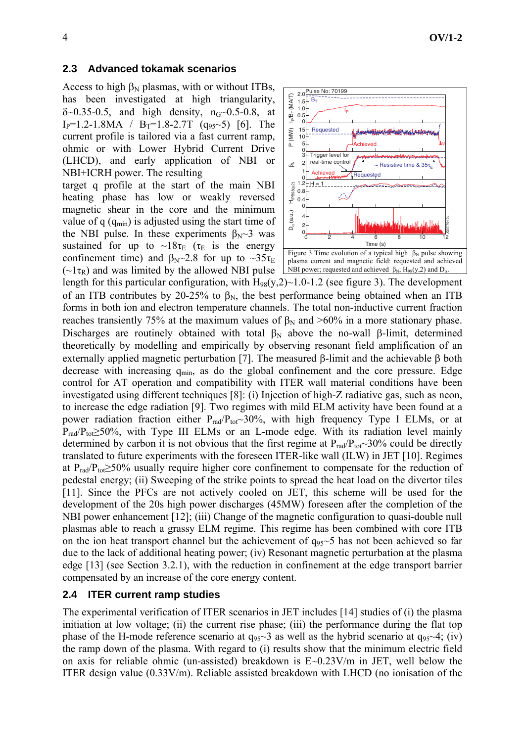#### **2.3 Advanced tokamak scenarios**

Access to high  $\beta_N$  plasmas, with or without ITBs, has been investigated at high triangularity,  $\delta$ ~0.35-0.5, and high density, n<sub>G</sub>~0.5-0.8, at I<sub>p</sub>=1.2-1.8MA / B<sub>T</sub>=1.8-2.7T (q<sub>95</sub>~5) [6]. The current profile is tailored via a fast current ramp, ohmic or with Lower Hybrid Current Drive (LHCD), and early application of NBI or NBI+ICRH power. The resulting

target q profile at the start of the main NBI heating phase has low or weakly reversed magnetic shear in the core and the minimum value of q  $(q_{min})$  is adjusted using the start time of the NBI pulse. In these experiments  $\beta_N \sim 3$  was sustained for up to  $\sim 18\tau_{\text{E}}$  ( $\tau_{\text{E}}$  is the energy confinement time) and  $\beta_{N}$ ~2.8 for up to ~35 $\tau_{E}$  $(-1\tau_R)$  and was limited by the allowed NBI pulse



length for this particular configuration, with  $H_{98}(y,2)$  ~ 1.0-1.2 (see figure 3). The development of an ITB contributes by 20-25% to  $\beta_N$ , the best performance being obtained when an ITB forms in both ion and electron temperature channels. The total non-inductive current fraction reaches transiently 75% at the maximum values of  $β_N$  and  $≥60%$  in a more stationary phase. Discharges are routinely obtained with total  $\beta_N$  above the no-wall β-limit, determined theoretically by modelling and empirically by observing resonant field amplification of an externally applied magnetic perturbation [7]. The measured β-limit and the achievable β both decrease with increasing q<sub>min</sub>, as do the global confinement and the core pressure. Edge control for AT operation and compatibility with ITER wall material conditions have been investigated using different techniques [8]: (i) Injection of high-Z radiative gas, such as neon, to increase the edge radiation [9]. Two regimes with mild ELM activity have been found at a power radiation fraction either  $P_{rad}/P_{tot} \sim 30\%$ , with high frequency Type I ELMs, or at  $P_{rad}/P_{tot} \geq 50\%$ , with Type III ELMs or an L-mode edge. With its radiation level mainly determined by carbon it is not obvious that the first regime at  $P_{rad}/P_{tot} \sim 30\%$  could be directly translated to future experiments with the foreseen ITER-like wall (ILW) in JET [10]. Regimes at  $P_{rad}/P_{tot} \ge 50\%$  usually require higher core confinement to compensate for the reduction of pedestal energy; (ii) Sweeping of the strike points to spread the heat load on the divertor tiles [11]. Since the PFCs are not actively cooled on JET, this scheme will be used for the development of the 20s high power discharges (45MW) foreseen after the completion of the NBI power enhancement [12]; (iii) Change of the magnetic configuration to quasi-double null plasmas able to reach a grassy ELM regime. This regime has been combined with core ITB on the ion heat transport channel but the achievement of  $q_{95} \sim 5$  has not been achieved so far due to the lack of additional heating power; (iv) Resonant magnetic perturbation at the plasma edge [13] (see Section 3.2.1), with the reduction in confinement at the edge transport barrier compensated by an increase of the core energy content.

#### **2.4 ITER current ramp studies**

The experimental verification of ITER scenarios in JET includes [14] studies of (i) the plasma initiation at low voltage; (ii) the current rise phase; (iii) the performance during the flat top phase of the H-mode reference scenario at  $q_{95} \sim 3$  as well as the hybrid scenario at  $q_{95} \sim 4$ ; (iv) the ramp down of the plasma. With regard to (i) results show that the minimum electric field on axis for reliable ohmic (un-assisted) breakdown is E~0.23V/m in JET, well below the ITER design value (0.33V/m). Reliable assisted breakdown with LHCD (no ionisation of the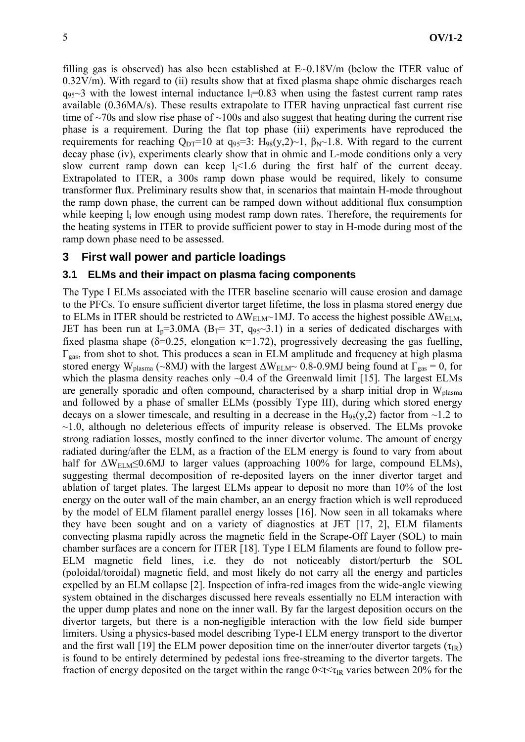filling gas is observed) has also been established at  $E \sim 0.18$ V/m (below the ITER value of  $0.32V/m$ ). With regard to (ii) results show that at fixed plasma shape ohmic discharges reach  $q_{95}$  with the lowest internal inductance l<sub>i</sub>=0.83 when using the fastest current ramp rates available (0.36MA/s). These results extrapolate to ITER having unpractical fast current rise time of  $\sim$ 70s and slow rise phase of  $\sim$ 100s and also suggest that heating during the current rise phase is a requirement. During the flat top phase (iii) experiments have reproduced the requirements for reaching  $Q_{DT}=10$  at  $q_{95}=3$ :  $H_{98}(y,2)$ ~1,  $\beta_{N}$ ~1.8. With regard to the current decay phase (iv), experiments clearly show that in ohmic and L-mode conditions only a very slow current ramp down can keep  $l_i$ <1.6 during the first half of the current decay. Extrapolated to ITER, a 300s ramp down phase would be required, likely to consume transformer flux. Preliminary results show that, in scenarios that maintain H-mode throughout the ramp down phase, the current can be ramped down without additional flux consumption while keeping  $l_i$  low enough using modest ramp down rates. Therefore, the requirements for the heating systems in ITER to provide sufficient power to stay in H-mode during most of the ramp down phase need to be assessed.

#### **3 First wall power and particle loadings**

#### **3.1 ELMs and their impact on plasma facing components**

The Type I ELMs associated with the ITER baseline scenario will cause erosion and damage to the PFCs. To ensure sufficient divertor target lifetime, the loss in plasma stored energy due to ELMs in ITER should be restricted to  $\Delta W_{\text{ELM}}$ ~1MJ. To access the highest possible  $\Delta W_{\text{ELM}}$ , JET has been run at  $I_p=3.0MA$  (B<sub>T</sub>= 3T, q<sub>95</sub> $\sim$ 3.1) in a series of dedicated discharges with fixed plasma shape ( $\delta$ =0.25, elongation  $\kappa$ =1.72), progressively decreasing the gas fuelling, Γgas, from shot to shot. This produces a scan in ELM amplitude and frequency at high plasma stored energy W<sub>plasma</sub> (~8MJ) with the largest  $\Delta W_{ELM}$ ~ 0.8-0.9MJ being found at  $\Gamma_{gas}$  = 0, for which the plasma density reaches only  $\sim 0.4$  of the Greenwald limit [15]. The largest ELMs are generally sporadic and often compound, characterised by a sharp initial drop in  $W_{plasma}$ and followed by a phase of smaller ELMs (possibly Type III), during which stored energy decays on a slower timescale, and resulting in a decrease in the  $H_{98}(y,2)$  factor from ~1.2 to  $\sim$ 1.0, although no deleterious effects of impurity release is observed. The ELMs provoke strong radiation losses, mostly confined to the inner divertor volume. The amount of energy radiated during/after the ELM, as a fraction of the ELM energy is found to vary from about half for  $\Delta W_{\text{ELM}} \leq 0.6$ MJ to larger values (approaching 100% for large, compound ELMs), suggesting thermal decomposition of re-deposited layers on the inner divertor target and ablation of target plates. The largest ELMs appear to deposit no more than 10% of the lost energy on the outer wall of the main chamber, an an energy fraction which is well reproduced by the model of ELM filament parallel energy losses [16]. Now seen in all tokamaks where they have been sought and on a variety of diagnostics at JET [17, 2], ELM filaments convecting plasma rapidly across the magnetic field in the Scrape-Off Layer (SOL) to main chamber surfaces are a concern for ITER [18]. Type I ELM filaments are found to follow pre-ELM magnetic field lines, i.e. they do not noticeably distort/perturb the SOL (poloidal/toroidal) magnetic field, and most likely do not carry all the energy and particles expelled by an ELM collapse [2]. Inspection of infra-red images from the wide-angle viewing system obtained in the discharges discussed here reveals essentially no ELM interaction with the upper dump plates and none on the inner wall. By far the largest deposition occurs on the divertor targets, but there is a non-negligible interaction with the low field side bumper limiters. Using a physics-based model describing Type-I ELM energy transport to the divertor and the first wall [19] the ELM power deposition time on the inner/outer divertor targets ( $\tau_{IR}$ ) is found to be entirely determined by pedestal ions free-streaming to the divertor targets. The fraction of energy deposited on the target within the range  $0 \lt t \lt \tau_{IR}$  varies between 20% for the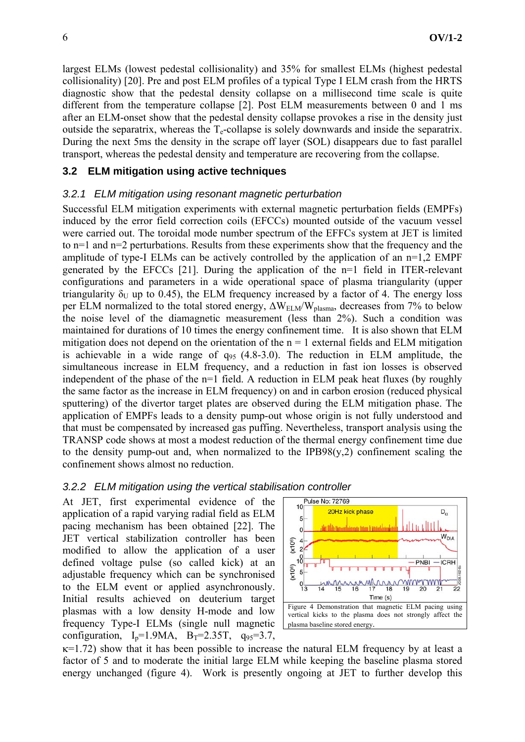largest ELMs (lowest pedestal collisionality) and 35% for smallest ELMs (highest pedestal collisionality) [20]. Pre and post ELM profiles of a typical Type I ELM crash from the HRTS diagnostic show that the pedestal density collapse on a millisecond time scale is quite different from the temperature collapse [2]. Post ELM measurements between 0 and 1 ms after an ELM-onset show that the pedestal density collapse provokes a rise in the density just outside the separatrix, whereas the  $T_e$ -collapse is solely downwards and inside the separatrix. During the next 5ms the density in the scrape off layer (SOL) disappears due to fast parallel transport, whereas the pedestal density and temperature are recovering from the collapse.

#### **3.2 ELM mitigation using active techniques**

#### *3.2.1 ELM mitigation using resonant magnetic perturbation*

Successful ELM mitigation experiments with external magnetic perturbation fields (EMPFs) induced by the error field correction coils (EFCCs) mounted outside of the vacuum vessel were carried out. The toroidal mode number spectrum of the EFFCs system at JET is limited to n=1 and n=2 perturbations. Results from these experiments show that the frequency and the amplitude of type-I ELMs can be actively controlled by the application of an  $n=1.2$  EMPF generated by the EFCCs [21]. During the application of the n=1 field in ITER-relevant configurations and parameters in a wide operational space of plasma triangularity (upper triangularity  $\delta_U$  up to 0.45), the ELM frequency increased by a factor of 4. The energy loss per ELM normalized to the total stored energy,  $\Delta W_{\text{ELM}}/W_{\text{plasma}}$ , decreases from 7% to below the noise level of the diamagnetic measurement (less than 2%). Such a condition was maintained for durations of 10 times the energy confinement time. It is also shown that ELM mitigation does not depend on the orientation of the  $n = 1$  external fields and ELM mitigation is achievable in a wide range of  $q_{95}$  (4.8-3.0). The reduction in ELM amplitude, the simultaneous increase in ELM frequency, and a reduction in fast ion losses is observed independent of the phase of the n=1 field. A reduction in ELM peak heat fluxes (by roughly the same factor as the increase in ELM frequency) on and in carbon erosion (reduced physical sputtering) of the divertor target plates are observed during the ELM mitigation phase. The application of EMPFs leads to a density pump-out whose origin is not fully understood and that must be compensated by increased gas puffing. Nevertheless, transport analysis using the TRANSP code shows at most a modest reduction of the thermal energy confinement time due to the density pump-out and, when normalized to the IPB98 $(y, 2)$  confinement scaling the confinement shows almost no reduction.

#### *3.2.2 ELM mitigation using the vertical stabilisation controller*

At JET, first experimental evidence of the application of a rapid varying radial field as ELM pacing mechanism has been obtained [22]. The JET vertical stabilization controller has been modified to allow the application of a user defined voltage pulse (so called kick) at an adjustable frequency which can be synchronised to the ELM event or applied asynchronously. Initial results achieved on deuterium target plasmas with a low density H-mode and low frequency Type-I ELMs (single null magnetic configuration,  $I_p=1.9MA$ ,  $B_T=2.35T$ ,  $q_{95}=3.7$ ,



 $\kappa$ =1.72) show that it has been possible to increase the natural ELM frequency by at least a factor of 5 and to moderate the initial large ELM while keeping the baseline plasma stored energy unchanged (figure 4). Work is presently ongoing at JET to further develop this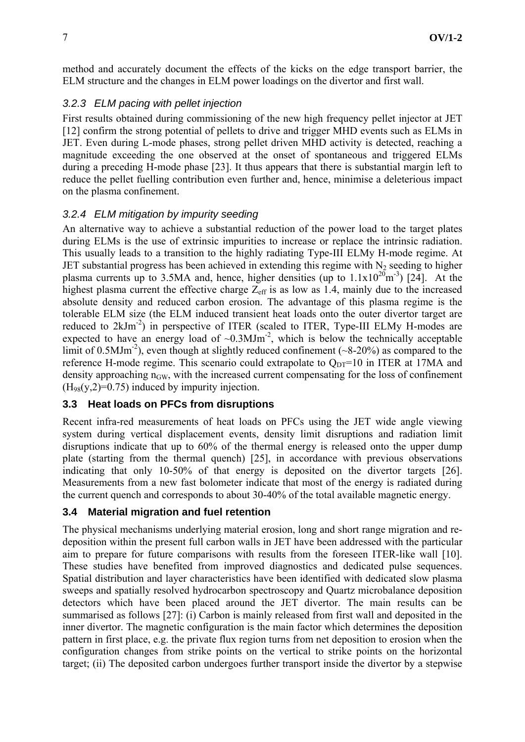method and accurately document the effects of the kicks on the edge transport barrier, the ELM structure and the changes in ELM power loadings on the divertor and first wall.

# *3.2.3 ELM pacing with pellet injection*

First results obtained during commissioning of the new high frequency pellet injector at JET [12] confirm the strong potential of pellets to drive and trigger MHD events such as ELMs in JET. Even during L-mode phases, strong pellet driven MHD activity is detected, reaching a magnitude exceeding the one observed at the onset of spontaneous and triggered ELMs during a preceding H-mode phase [23]. It thus appears that there is substantial margin left to reduce the pellet fuelling contribution even further and, hence, minimise a deleterious impact on the plasma confinement.

## *3.2.4 ELM mitigation by impurity seeding*

An alternative way to achieve a substantial reduction of the power load to the target plates during ELMs is the use of extrinsic impurities to increase or replace the intrinsic radiation. This usually leads to a transition to the highly radiating Type-III ELMy H-mode regime. At JET substantial progress has been achieved in extending this regime with  $N_2$  seeding to higher plasma currents up to 3.5MA and, hence, higher densities (up to  $1.1x10^{20}$ m<sup>-3</sup>) [24]. At the highest plasma current the effective charge  $Z_{\text{eff}}$  is as low as 1.4, mainly due to the increased absolute density and reduced carbon erosion. The advantage of this plasma regime is the tolerable ELM size (the ELM induced transient heat loads onto the outer divertor target are reduced to 2kJm<sup>-2</sup>) in perspective of ITER (scaled to ITER, Type-III ELMy H-modes are expected to have an energy load of  $\sim 0.3 \text{M} \text{J} \text{m}^2$ , which is below the technically acceptable limit of 0.5MJm<sup>-2</sup>), even though at slightly reduced confinement ( $\sim$ 8-20%) as compared to the reference H-mode regime. This scenario could extrapolate to  $Q<sub>DT</sub>=10$  in ITER at 17MA and density approaching  $n_{GW}$ , with the increased current compensating for the loss of confinement  $(H_{98}(y,2)=0.75)$  induced by impurity injection.

## **3.3 Heat loads on PFCs from disruptions**

Recent infra-red measurements of heat loads on PFCs using the JET wide angle viewing system during vertical displacement events, density limit disruptions and radiation limit disruptions indicate that up to 60% of the thermal energy is released onto the upper dump plate (starting from the thermal quench) [25], in accordance with previous observations indicating that only 10-50% of that energy is deposited on the divertor targets [26]. Measurements from a new fast bolometer indicate that most of the energy is radiated during the current quench and corresponds to about 30-40% of the total available magnetic energy.

## **3.4 Material migration and fuel retention**

The physical mechanisms underlying material erosion, long and short range migration and redeposition within the present full carbon walls in JET have been addressed with the particular aim to prepare for future comparisons with results from the foreseen ITER-like wall [10]. These studies have benefited from improved diagnostics and dedicated pulse sequences. Spatial distribution and layer characteristics have been identified with dedicated slow plasma sweeps and spatially resolved hydrocarbon spectroscopy and Quartz microbalance deposition detectors which have been placed around the JET divertor. The main results can be summarised as follows [27]: (i) Carbon is mainly released from first wall and deposited in the inner divertor. The magnetic configuration is the main factor which determines the deposition pattern in first place, e.g. the private flux region turns from net deposition to erosion when the configuration changes from strike points on the vertical to strike points on the horizontal target; (ii) The deposited carbon undergoes further transport inside the divertor by a stepwise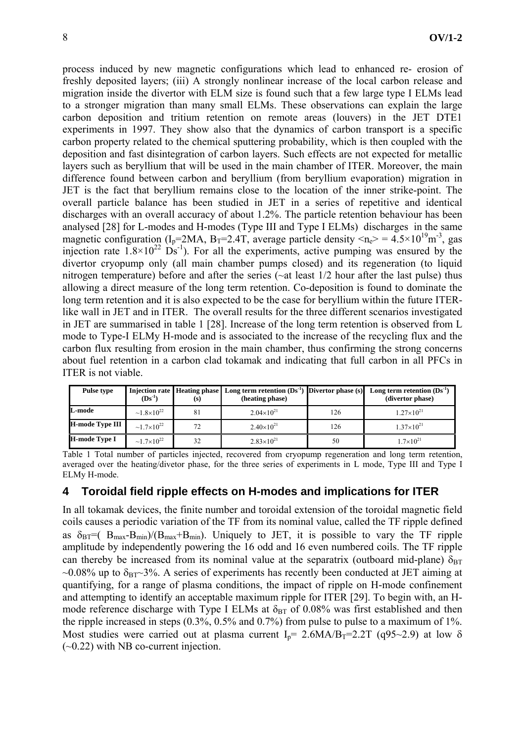process induced by new magnetic configurations which lead to enhanced re- erosion of freshly deposited layers; (iii) A strongly nonlinear increase of the local carbon release and migration inside the divertor with ELM size is found such that a few large type I ELMs lead to a stronger migration than many small ELMs. These observations can explain the large carbon deposition and tritium retention on remote areas (louvers) in the JET DTE1 experiments in 1997. They show also that the dynamics of carbon transport is a specific carbon property related to the chemical sputtering probability, which is then coupled with the deposition and fast disintegration of carbon layers. Such effects are not expected for metallic layers such as beryllium that will be used in the main chamber of ITER. Moreover, the main difference found between carbon and beryllium (from beryllium evaporation) migration in JET is the fact that beryllium remains close to the location of the inner strike-point. The overall particle balance has been studied in JET in a series of repetitive and identical discharges with an overall accuracy of about 1.2%. The particle retention behaviour has been analysed [28] for L-modes and H-modes (Type III and Type I ELMs) discharges in the same magnetic configuration (I<sub>p</sub>=2MA, B<sub>T</sub>=2.4T, average particle density  $\langle n_e \rangle = 4.5 \times 10^{19}$  m<sup>-3</sup>, gas injection rate  $1.8 \times 10^{22}$  Ds<sup>-1</sup>). For all the experiments, active pumping was ensured by the divertor cryopump only (all main chamber pumps closed) and its regeneration (to liquid nitrogen temperature) before and after the series (~at least 1/2 hour after the last pulse) thus allowing a direct measure of the long term retention. Co-deposition is found to dominate the long term retention and it is also expected to be the case for beryllium within the future ITERlike wall in JET and in ITER. The overall results for the three different scenarios investigated in JET are summarised in table 1 [28]. Increase of the long term retention is observed from L mode to Type-I ELMy H-mode and is associated to the increase of the recycling flux and the carbon flux resulting from erosion in the main chamber, thus confirming the strong concerns about fuel retention in a carbon clad tokamak and indicating that full carbon in all PFCs in ITER is not viable.

| Pulse type           | $(Ds^{-1})$                 | (s) | Injection rate   Heating phase   Long term retention $(Ds^{-1})$   Divertor phase (s)<br>(heating phase) |     | Long term retention $(Ds^{-1})$<br>(divertor phase) |
|----------------------|-----------------------------|-----|----------------------------------------------------------------------------------------------------------|-----|-----------------------------------------------------|
| L-mode               | $\sim 1.8 \times 10^{22}$   | 81  | $2.04\times10^{21}$                                                                                      | 126 | $1.27\times10^{21}$                                 |
| H-mode Type III      | $\sim$ 1.7×10 <sup>22</sup> |     | $2.40\times10^{21}$                                                                                      | 126 | $1.37\times10^{21}$                                 |
| <b>H-mode Type I</b> | $\sim$ 1.7×10 <sup>22</sup> | 32  | $2.83\times10^{21}$                                                                                      | 50  | $1.7\times10^{21}$                                  |

Table 1 Total number of particles injected, recovered from cryopump regeneration and long term retention, averaged over the heating/divetor phase, for the three series of experiments in L mode, Type III and Type I ELMy H-mode.

#### **4 Toroidal field ripple effects on H-modes and implications for ITER**

In all tokamak devices, the finite number and toroidal extension of the toroidal magnetic field coils causes a periodic variation of the TF from its nominal value, called the TF ripple defined as  $\delta_{BT}=(B_{max}-B_{min})/(B_{max}+B_{min})$ . Uniquely to JET, it is possible to vary the TF ripple amplitude by independently powering the 16 odd and 16 even numbered coils. The TF ripple can thereby be increased from its nominal value at the separatrix (outboard mid-plane)  $\delta_{\text{BT}}$  $\sim$ 0.08% up to  $\delta$ <sub>BT</sub> $\sim$ 3%. A series of experiments has recently been conducted at JET aiming at quantifying, for a range of plasma conditions, the impact of ripple on H-mode confinement and attempting to identify an acceptable maximum ripple for ITER [29]. To begin with, an Hmode reference discharge with Type I ELMs at  $\delta_{\text{BT}}$  of 0.08% was first established and then the ripple increased in steps (0.3%, 0.5% and 0.7%) from pulse to pulse to a maximum of 1%. Most studies were carried out at plasma current  $I<sub>p</sub> = 2.6MA/B<sub>T</sub>=2.2T$  (q95~2.9) at low  $\delta$  $(-0.22)$  with NB co-current injection.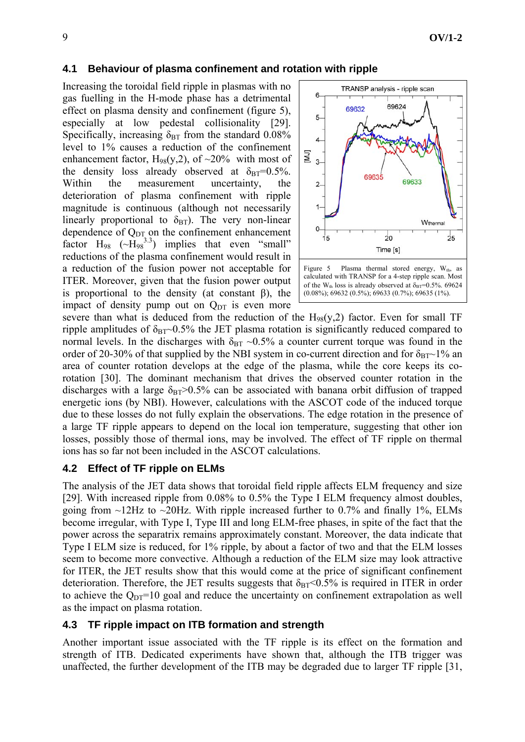### **4.1 Behaviour of plasma confinement and rotation with ripple**

Increasing the toroidal field ripple in plasmas with no gas fuelling in the H-mode phase has a detrimental effect on plasma density and confinement (figure 5), especially at low pedestal collisionality [29]. Specifically, increasing  $\delta_{\text{BT}}$  from the standard 0.08% level to 1% causes a reduction of the confinement enhancement factor,  $H_{98}(y,2)$ , of  $\sim 20\%$  with most of the density loss already observed at  $\delta_{\text{BT}}=0.5\%$ . Within the measurement uncertainty, the deterioration of plasma confinement with ripple magnitude is continuous (although not necessarily linearly proportional to  $\delta_{\text{BT}}$ ). The very non-linear dependence of  $Q_{DT}$  on the confinement enhancement factor  $H_{98}$  ( $-H_{98}^{3.3}$ ) implies that even "small" reductions of the plasma confinement would result in a reduction of the fusion power not acceptable for ITER. Moreover, given that the fusion power output is proportional to the density (at constant β), the impact of density pump out on  $O<sub>DT</sub>$  is even more



(0.08%); 69632 (0.5%); 69633 (0.7%); 69635 (1%).

severe than what is deduced from the reduction of the  $H_{98}(y,2)$  factor. Even for small TF ripple amplitudes of  $\delta_{\text{BT}}$ -0.5% the JET plasma rotation is significantly reduced compared to normal levels. In the discharges with  $\delta_{BT} \sim 0.5\%$  a counter current torque was found in the order of 20-30% of that supplied by the NBI system in co-current direction and for  $\delta_{\text{BT}}$ ~1% an area of counter rotation develops at the edge of the plasma, while the core keeps its corotation [30]. The dominant mechanism that drives the observed counter rotation in the discharges with a large  $\delta_{\text{BT}} > 0.5\%$  can be associated with banana orbit diffusion of trapped energetic ions (by NBI). However, calculations with the ASCOT code of the induced torque due to these losses do not fully explain the observations. The edge rotation in the presence of a large TF ripple appears to depend on the local ion temperature, suggesting that other ion losses, possibly those of thermal ions, may be involved. The effect of TF ripple on thermal ions has so far not been included in the ASCOT calculations.

#### **4.2 Effect of TF ripple on ELMs**

The analysis of the JET data shows that toroidal field ripple affects ELM frequency and size [29]. With increased ripple from 0.08% to 0.5% the Type I ELM frequency almost doubles, going from  $\sim$ 12Hz to  $\sim$ 20Hz. With ripple increased further to 0.7% and finally 1%, ELMs become irregular, with Type I, Type III and long ELM-free phases, in spite of the fact that the power across the separatrix remains approximately constant. Moreover, the data indicate that Type I ELM size is reduced, for 1% ripple, by about a factor of two and that the ELM losses seem to become more convective. Although a reduction of the ELM size may look attractive for ITER, the JET results show that this would come at the price of significant confinement deterioration. Therefore, the JET results suggests that  $\delta_{BT}$ <0.5% is required in ITER in order to achieve the  $Q_{DT}=10$  goal and reduce the uncertainty on confinement extrapolation as well as the impact on plasma rotation.

#### **4.3 TF ripple impact on ITB formation and strength**

Another important issue associated with the TF ripple is its effect on the formation and strength of ITB. Dedicated experiments have shown that, although the ITB trigger was unaffected, the further development of the ITB may be degraded due to larger TF ripple [31,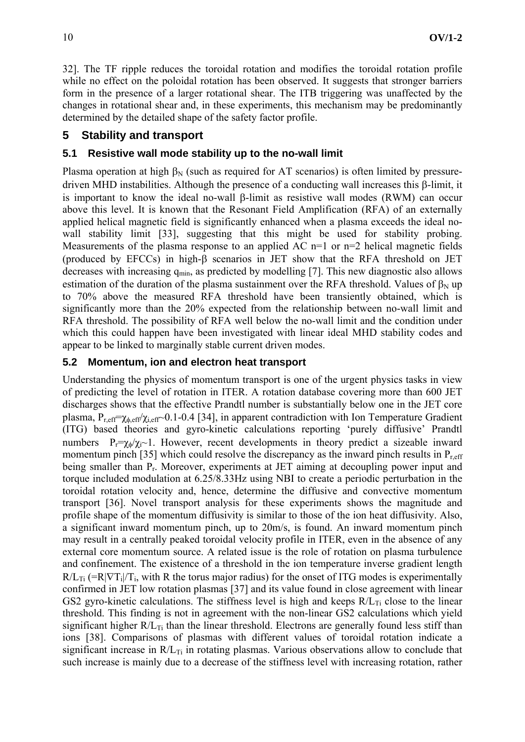32]. The TF ripple reduces the toroidal rotation and modifies the toroidal rotation profile while no effect on the poloidal rotation has been observed. It suggests that stronger barriers form in the presence of a larger rotational shear. The ITB triggering was unaffected by the changes in rotational shear and, in these experiments, this mechanism may be predominantly determined by the detailed shape of the safety factor profile.

## **5 Stability and transport**

### **5.1 Resistive wall mode stability up to the no-wall limit**

Plasma operation at high  $\beta_N$  (such as required for AT scenarios) is often limited by pressuredriven MHD instabilities. Although the presence of a conducting wall increases this β-limit, it is important to know the ideal no-wall β-limit as resistive wall modes (RWM) can occur above this level. It is known that the Resonant Field Amplification (RFA) of an externally applied helical magnetic field is significantly enhanced when a plasma exceeds the ideal nowall stability limit [33], suggesting that this might be used for stability probing. Measurements of the plasma response to an applied AC  $n=1$  or  $n=2$  helical magnetic fields (produced by EFCCs) in high-β scenarios in JET show that the RFA threshold on JET decreases with increasing  $q_{min}$ , as predicted by modelling [7]. This new diagnostic also allows estimation of the duration of the plasma sustainment over the RFA threshold. Values of  $\beta_N$  up to 70% above the measured RFA threshold have been transiently obtained, which is significantly more than the 20% expected from the relationship between no-wall limit and RFA threshold. The possibility of RFA well below the no-wall limit and the condition under which this could happen have been investigated with linear ideal MHD stability codes and appear to be linked to marginally stable current driven modes.

## **5.2 Momentum, ion and electron heat transport**

Understanding the physics of momentum transport is one of the urgent physics tasks in view of predicting the level of rotation in ITER. A rotation database covering more than 600 JET discharges shows that the effective Prandtl number is substantially below one in the JET core plasma, Pr,eff=χφ,eff/χi,eff~0.1-0.4 [34], in apparent contradiction with Ion Temperature Gradient (ITG) based theories and gyro-kinetic calculations reporting 'purely diffusive' Prandtl numbers  $P_r = \gamma_0 / \gamma_1$ . However, recent developments in theory predict a sizeable inward momentum pinch [35] which could resolve the discrepancy as the inward pinch results in  $P_{reff}$ being smaller than P<sub>r</sub>. Moreover, experiments at JET aiming at decoupling power input and torque included modulation at 6.25/8.33Hz using NBI to create a periodic perturbation in the toroidal rotation velocity and, hence, determine the diffusive and convective momentum transport [36]. Novel transport analysis for these experiments shows the magnitude and profile shape of the momentum diffusivity is similar to those of the ion heat diffusivity. Also, a significant inward momentum pinch, up to 20m/s, is found. An inward momentum pinch may result in a centrally peaked toroidal velocity profile in ITER, even in the absence of any external core momentum source. A related issue is the role of rotation on plasma turbulence and confinement. The existence of a threshold in the ion temperature inverse gradient length  $R/L_{Ti}$  (=R| $\nabla$ T<sub>i</sub>|/T<sub>i</sub>, with R the torus major radius) for the onset of ITG modes is experimentally confirmed in JET low rotation plasmas [37] and its value found in close agreement with linear GS2 gyro-kinetic calculations. The stiffness level is high and keeps  $R/L_T$ ; close to the linear threshold. This finding is not in agreement with the non-linear GS2 calculations which yield significant higher  $R/L_{Ti}$  than the linear threshold. Electrons are generally found less stiff than ions [38]. Comparisons of plasmas with different values of toroidal rotation indicate a significant increase in  $R/L_{Ti}$  in rotating plasmas. Various observations allow to conclude that such increase is mainly due to a decrease of the stiffness level with increasing rotation, rather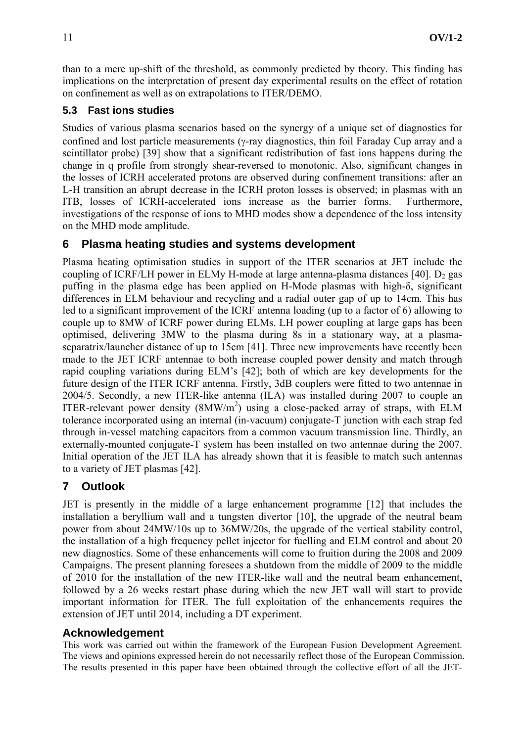than to a mere up-shift of the threshold, as commonly predicted by theory. This finding has implications on the interpretation of present day experimental results on the effect of rotation on confinement as well as on extrapolations to ITER/DEMO.

## **5.3 Fast ions studies**

Studies of various plasma scenarios based on the synergy of a unique set of diagnostics for confined and lost particle measurements (γ-ray diagnostics, thin foil Faraday Cup array and a scintillator probe) [39] show that a significant redistribution of fast ions happens during the change in q profile from strongly shear-reversed to monotonic. Also, significant changes in the losses of ICRH accelerated protons are observed during confinement transitions: after an L-H transition an abrupt decrease in the ICRH proton losses is observed; in plasmas with an ITB, losses of ICRH-accelerated ions increase as the barrier forms. Furthermore, investigations of the response of ions to MHD modes show a dependence of the loss intensity on the MHD mode amplitude.

# **6 Plasma heating studies and systems development**

Plasma heating optimisation studies in support of the ITER scenarios at JET include the coupling of ICRF/LH power in ELMy H-mode at large antenna-plasma distances [40].  $D_2$  gas puffing in the plasma edge has been applied on H-Mode plasmas with high-δ, significant differences in ELM behaviour and recycling and a radial outer gap of up to 14cm. This has led to a significant improvement of the ICRF antenna loading (up to a factor of 6) allowing to couple up to 8MW of ICRF power during ELMs. LH power coupling at large gaps has been optimised, delivering 3MW to the plasma during 8s in a stationary way, at a plasmaseparatrix/launcher distance of up to 15cm [41]. Three new improvements have recently been made to the JET ICRF antennae to both increase coupled power density and match through rapid coupling variations during ELM's [42]; both of which are key developments for the future design of the ITER ICRF antenna. Firstly, 3dB couplers were fitted to two antennae in 2004/5. Secondly, a new ITER-like antenna (ILA) was installed during 2007 to couple an ITER-relevant power density  $(8MW/m<sup>2</sup>)$  using a close-packed array of straps, with ELM tolerance incorporated using an internal (in-vacuum) conjugate-T junction with each strap fed through in-vessel matching capacitors from a common vacuum transmission line. Thirdly, an externally-mounted conjugate-T system has been installed on two antennae during the 2007. Initial operation of the JET ILA has already shown that it is feasible to match such antennas to a variety of JET plasmas [42].

# **7 Outlook**

JET is presently in the middle of a large enhancement programme [12] that includes the installation a beryllium wall and a tungsten divertor [10], the upgrade of the neutral beam power from about 24MW/10s up to 36MW/20s, the upgrade of the vertical stability control, the installation of a high frequency pellet injector for fuelling and ELM control and about 20 new diagnostics. Some of these enhancements will come to fruition during the 2008 and 2009 Campaigns. The present planning foresees a shutdown from the middle of 2009 to the middle of 2010 for the installation of the new ITER-like wall and the neutral beam enhancement, followed by a 26 weeks restart phase during which the new JET wall will start to provide important information for ITER. The full exploitation of the enhancements requires the extension of JET until 2014, including a DT experiment.

## **Acknowledgement**

This work was carried out within the framework of the European Fusion Development Agreement. The views and opinions expressed herein do not necessarily reflect those of the European Commission. The results presented in this paper have been obtained through the collective effort of all the JET-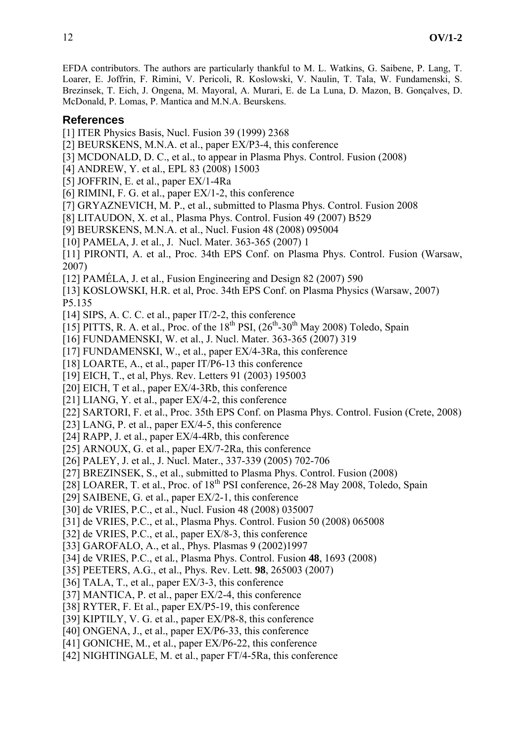EFDA contributors. The authors are particularly thankful to M. L. Watkins, G. Saibene, P. Lang, T. Loarer, E. Joffrin, F. Rimini, V. Pericoli, R. Koslowski, V. Naulin, T. Tala, W. Fundamenski, S. Brezinsek, T. Eich, J. Ongena, M. Mayoral, A. Murari, E. de La Luna, D. Mazon, B. Gonçalves, D. McDonald, P. Lomas, P. Mantica and M.N.A. Beurskens.

### **References**

[1] ITER Physics Basis, Nucl. Fusion 39 (1999) 2368

[2] BEURSKENS, M.N.A. et al., paper EX/P3-4, this conference

- [3] MCDONALD, D. C., et al., to appear in Plasma Phys. Control. Fusion (2008)
- [4] ANDREW, Y. et al., EPL 83 (2008) 15003
- [5] JOFFRIN, E. et al., paper EX/1-4Ra
- [6] RIMINI, F. G. et al., paper EX/1-2, this conference
- [7] GRYAZNEVICH, M. P., et al., submitted to Plasma Phys. Control. Fusion 2008
- [8] LITAUDON, X. et al., Plasma Phys. Control. Fusion 49 (2007) B529

[9] BEURSKENS, M.N.A. et al., Nucl. Fusion 48 (2008) 095004

[10] PAMELA, J. et al., J. Nucl. Mater. 363-365 (2007) 1

[11] PIRONTI, A. et al., Proc. 34th EPS Conf. on Plasma Phys. Control. Fusion (Warsaw, 2007)

- [12] PAMÉLA, J. et al., Fusion Engineering and Design 82 (2007) 590
- [13] KOSLOWSKI, H.R. et al, Proc. 34th EPS Conf. on Plasma Physics (Warsaw, 2007) P5.135
- [14] SIPS, A. C. C. et al., paper IT/2-2, this conference
- [15] PITTS, R. A. et al., Proc. of the  $18^{th}$  PSI,  $(26^{th} 30^{th}$  May 2008) Toledo, Spain
- [16] FUNDAMENSKI, W. et al., J. Nucl. Mater. 363-365 (2007) 319
- [17] FUNDAMENSKI, W., et al., paper EX/4-3Ra, this conference
- [18] LOARTE, A., et al., paper IT/P6-13 this conference
- [19] EICH, T., et al, Phys. Rev. Letters 91 (2003) 195003
- [20] EICH, T et al., paper EX/4-3Rb, this conference
- [21] LIANG, Y. et al., paper EX/4-2, this conference

[22] SARTORI, F. et al., Proc. 35th EPS Conf. on Plasma Phys. Control. Fusion (Crete, 2008)

- [23] LANG, P. et al., paper EX/4-5, this conference
- [24] RAPP, J. et al., paper EX/4-4Rb, this conference
- [25] ARNOUX, G. et al., paper EX/7-2Ra, this conference
- [26] PALEY, J. et al., J. Nucl. Mater., 337-339 (2005) 702-706
- [27] BREZINSEK, S., et al., submitted to Plasma Phys. Control. Fusion (2008)
- [28] LOARER, T. et al., Proc. of 18<sup>th</sup> PSI conference, 26-28 May 2008, Toledo, Spain
- [29] SAIBENE, G. et al., paper EX/2-1, this conference
- [30] de VRIES, P.C., et al., Nucl. Fusion 48 (2008) 035007
- [31] de VRIES, P.C., et al*.*, Plasma Phys. Control. Fusion 50 (2008) 065008
- [32] de VRIES, P.C., et al*.*, paper EX/8-3, this conference
- [33] GAROFALO, A., et al., Phys. Plasmas 9 (2002)1997
- [34] de VRIES, P.C., et al*.*, Plasma Phys. Control. Fusion **48**, 1693 (2008)
- [35] PEETERS, A.G., et al., Phys. Rev. Lett. **98**, 265003 (2007)
- [36] TALA, T., et al., paper EX/3-3, this conference
- [37] MANTICA, P. et al., paper EX/2-4, this conference
- [38] RYTER, F. Et al., paper EX/P5-19, this conference
- [39] KIPTILY, V. G. et al., paper EX/P8-8, this conference
- [40] ONGENA, J., et al., paper EX/P6-33, this conference
- [41] GONICHE, M., et al., paper EX/P6-22, this conference
- [42] NIGHTINGALE, M. et al., paper FT/4-5Ra, this conference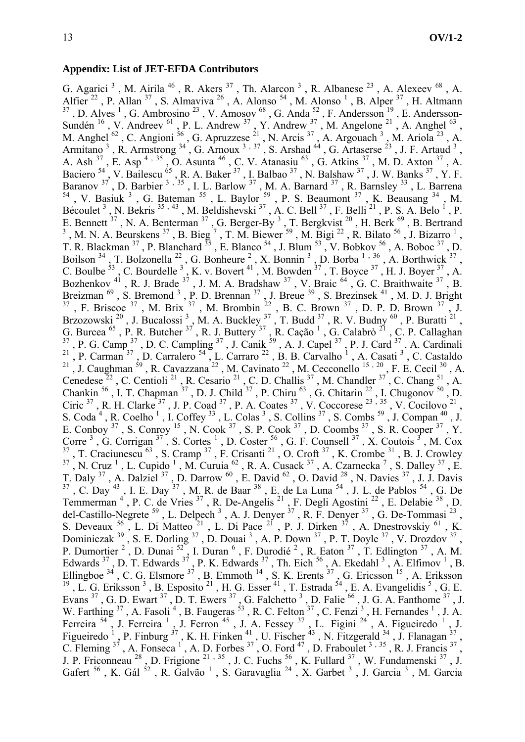#### **Appendix: List of JET-EFDA Contributors**

G. Agarici<sup>3</sup>, M. Airila<sup>46</sup>, R. Akers<sup>37</sup>, Th. Alarcon<sup>3</sup>, R. Albanese<sup>23</sup>, A. Alexeev<sup>68</sup>, A. Alfier <sup>22</sup>, P. Allan <sup>37</sup>, S. Almaviva <sup>26</sup>, A. Alonso <sup>54</sup>, M. Alonso <sup>1</sup>, B. Alper <sup>37</sup>, H. Altmann  $37$ , D. Alves  $1$ , G. Ambrosino  $23$ , V. Amosov  $68$ , G. Anda  $52$ , F. Andersson  $19$ , E. Andersson-Sundén  $^{16}$ , V. Andreev  $^{61}$ , P. L. Andrew  $^{37}$ , Y. Andrew  $^{37}$ , M. Angelone  $^{21}$ , A. Anghel  $^{63}$ , M. Anghel  $^{62}$ , C. Angioni  $^{56}$ , G. Apruzzese  $^{21}$ , N. Arcis  $^{37}$ , A. Argouach  $^3$ , M. Ariola  $^{23}$ , A. Armitano<sup>3</sup>, R. Armstrong<sup>34</sup>, G. Arnoux<sup>3, 37</sup>, S. Arshad<sup>44</sup>, G. Artaserse<sup>23</sup>, J. F. Artaud<sup>3</sup>, A. Ash  $^{37}$ , E. Asp<sup>4, 35</sup>, O. Asunta  $^{46}$ , C. V. Atanasiu  $^{63}$ , G. Atkins  $^{37}$ , M. D. Axton  $^{37}$ , A. Baciero  $^{54}$ , V. Bailescu  $^{65}$ , R. A. Baker  $^{37}$ , I. Balbao  $^{37}$ , N. Balshaw  $^{37}$ , J. W. Banks  $^{37}$ , Y. F. Baranov  $3^7$ , D. Barbier  $3^7$ ,  $35^7$ , I. L. Barlow  $3^7$ , M. A. Barnard  $3^7$ , R. Barnsley  $3^3$ , L. Barrena  $^{54}$ , V. Basiuk  $^3$ , G. Bateman  $^{55}$ , L. Baylor  $^{59}$ , P. S. Beaumont  $^{37}$ , K. Beausang  $^{34}$ , M. Bécoulet  $3^3$ , N. Bekris  $3^5$ ,  $43^3$ , M. Beldishevski  $3^7$ , A. C. Bell  $3^7$ , F. Belli  $2^1$ , P. S. A. Belo  $^1$ , P. E. Bennett<sup>37</sup>, N. A. Benterman <sup>37</sup>, G. Berger-By <sup>3</sup>, T. Bergkvist<sup>20</sup>, H. Berk <sup>69</sup>, B. Bertrand <sup>3</sup>, M. N. A. Beurskens <sup>37</sup>, B. Bieg<sup>7</sup>, T. M. Biewer <sup>59</sup>, M. Bigi<sup>22</sup>, R. Bilato <sup>56</sup>, J. Bizarro <sup>1</sup>, T. R. Blackman  $^{37}$ , P. Blanchard  $^{35}$ , E. Blanco  $^{54}$ , J. Blum  $^{53}$ , V. Bobkov  $^{56}$ , A. Boboc  $^{37}$ , D. Boilson  $^{34}$ , T. Bolzonella  $^{22}$ , G. Bonheure  $^2$ , X. Bonnin  $^3$ , D. Borba  $^{1}$ ,  $^{36}$ , A. Borthwick  $^{37}$ , C. Boulbe  $^{53}$ , C. Bourdelle  $^3$ , K. v. Bovert  $^{41}$ , M. Bowden  $^{37}$ , T. Boyce  $^{37}$ , H. J. Boyer  $^{37}$ , A. Bozhenkov<sup>41</sup>, R. J. Brade<sup>37</sup>, J. M. A. Bradshaw<sup>37</sup>, V. Braic<sup>64</sup>, G. C. Braithwaite<sup>37</sup>, B. Breizman  $^{69}$ , S. Bremond  $^3$ , P. D. Brennan  $^{37}$ , J. Breue  $^{39}$ , S. Brezinsek  $^{41}$ , M. D. J. Bright  $37$ , F. Briscoe  $37$ , M. Brix  $37$ , M. Brombin  $22$ , B. C. Brown  $37$ , D. P. D. Brown  $37$ , J. Brzozowski  $^{20}$ , J. Bucalossi  $^3$ , M. A. Buckley  $^{37}$ , T. Budd  $^{37}$ , R. V. Budny  $^{60}$ , P. Buratti  $^{21}$ , G. Burcea  $^{65}$ , P. R. Butcher  $^{37}$ , R. J. Buttery  $^{37}$ , R. Cação  $^1$ , G. Calabrò  $^{21}$ , C. P. Callaghan  $37$ , P. G. Camp  $37$ , D. C. Campling  $37$ , J. Canik  $59$ , A. J. Capel  $37$ , P. J. Card  $37$ , A. Cardinali <sup>21</sup>, P. Carman <sup>37</sup>, D. Carralero <sup>54</sup>, L. Carraro <sup>22</sup>, B. B. Carvalho <sup>1</sup>, A. Casati <sup>3</sup>, C. Castaldo <sup>21</sup>, J. Caughman <sup>59</sup>, R. Cavazzana<sup>22</sup>, M. Cavinato<sup>22</sup>, M. Cecconello<sup>15, 20</sup>, F. E. Cecil<sup>30</sup>, A. Cenedese  $^{22}$ , C. Centioli<sup>21</sup>, R. Cesario<sup>21</sup>, C. D. Challis<sup>37</sup>, M. Chandler<sup>37</sup>, C. Chang<sup>51</sup>, A. Chankin  $^{56}$ , I. T. Chapman  $^{37}$ , D. J. Child  $^{37}$ , P. Chiru  $^{63}$ , G. Chitarin  $^{22}$ , I. Chugonov  $^{50}$ , D. Ciric  $^{37}$ , R. H. Clarke  $^{37}$ , J. P. Coad  $^{37}$ , P. A. Coates  $^{37}$ , V. Coccorese  $^{23}$ ,  $^{35}$ , V. Cocilovo  $^{21}$ , S. Coda<sup> $4$ </sup>, R. Coelho<sup>1</sup>, I. Coffey<sup>33</sup>, L. Colas<sup>3</sup>, S. Collins<sup>37</sup>, S. Combs<sup>59</sup>, J. Compan<sup>40</sup>, J. E. Conboy  $37$ , S. Conroy  $15$ , N. Cook  $37$ , S. P. Cook  $37$ , D. Coombs  $37$ , S. R. Cooper  $37$ , Y. Corre  $^3$ , G. Corrigan  $^{37}$ , S. Cortes  $^1$ , D. Coster  $^{56}$ , G. F. Counsell  $^{37}$ , X. Coutois  $^3$ , M. Cox  $37$ , T. Craciunescu  $^{63}$ , S. Cramp  $^{37}$ , F. Crisanti  $^{21}$ , O. Croft  $^{37}$ , K. Crombe  $^{31}$ , B. J. Crowley  $37$ , N. Cruz<sup>1</sup>, L. Cupido<sup>1</sup>, M. Curuia<sup>62</sup>, R. A. Cusack  $37$ , A. Czarnecka<sup>7</sup>, S. Dalley  $37$ , E. T. Daly  $^{37}$ , A. Dalziel  $^{37}$ , D. Darrow  $^{60}$ , E. David  $^{62}$ , O. David  $^{28}$ , N. Davies  $^{37}$ , J. J. Davis  $37$ , C. Day  $43$ , I. E. Day  $37$ , M. R. de Baar  $38$ , E. de La Luna  $54$ , J. L. de Pablos  $54$ , G. De Temmerman<sup>4</sup>, P. C. de Vries<sup>37</sup>, R. De-Angelis<sup>21</sup>, F. Degli Agostini<sup>22</sup>, E. Delabie<sup>38</sup>, D. del-Castillo-Negrete  $^{59}$ , L. Delpech<sup>3</sup>, A. J. Denyer<sup>37</sup>, R. F. Denyer<sup>37</sup>, G. De-Tommasi<sup>23</sup>, S. Deveaux  $^{56}$ , L. Di Matteo  $^{21}$ , L. Di Pace  $^{21}$ , P. J. Dirken  $^{37}$ , A. Dnestrovskiy  $^{61}$ , K. Dominiczak  $^{39}$ , S. E. Dorling  $^{37}$ , D. Douai  $^3$ , A. P. Down  $^{37}$ , P. T. Doyle  $^{37}$ , V. Drozdov  $^{37}$ , P. Dumortier<sup>2</sup>, D. Dunai<sup>52</sup>, I. Duran<sup>6</sup>, F. Durodié<sup>2</sup>, R. Eaton<sup>37</sup>, T. Edlington<sup>37</sup>, A. M. Edwards  $^{37}$ , D. T. Edwards  $^{37}$ , P. K. Edwards  $^{37}$ , Th. Eich  $^{56}$ , A. Ekedahl  $^3$ , A. Elfimov  $^1$ , B. Ellingboe  $34$ , C. G. Elsmore  $37$ , B. Emmoth  $14$ , S. K. Erents  $37$ , G. Ericsson  $15$ , A. Eriksson  $^{19}$ , L. G. Eriksson<sup>3</sup>, B. Esposito<sup>21</sup>, H. G. Esser<sup>41</sup>, T. Estrada<sup>54</sup>, E. A. Evangelidis<sup>5</sup>, G. E. Evans  $^{37}$ , G. D. Ewart  $^{37}$ , D. T. Ewers  $^{37}$ , G. Falchetto  $^3$ , D. Falie  $^{66}$ , J. G. A. Fanthome  $^{37}$ , J. W. Farthing  $^{37}$ , A. Fasoli<sup>4</sup>, B. Faugeras  $^{53}$ , R. C. Felton  $^{37}$ , C. Fenzi<sup>3</sup>, H. Fernandes <sup>1</sup>, J. A. Ferreira  $^{54}$ , J. Ferreira<sup>1</sup>, J. Ferron  $^{45}$ , J. A. Fessey  $^{37}$ , L. Figini  $^{24}$ , A. Figueiredo<sup>1</sup>, J. Figueiredo<sup>1</sup>, P. Finburg<sup>37</sup>, K. H. Finken<sup>41</sup>, U. Fischer<sup>43</sup>, N. Fitzgerald<sup>34</sup>, J. Flanagan<sup>37</sup>, C. Fleming  $^{37}$ , A. Fonseca  $^1$ , A. D. Forbes  $^{37}$ , O. Ford  $^{47}$ , D. Fraboulet  $^3$ ,  $^{35}$ , R. J. Francis  $^{37}$ , J. P. Friconneau  $^{28}$ , D. Frigione  $^{21}$ ,  $^{35}$ , J. C. Fuchs  $^{56}$ , K. Fullard  $^{37}$ , W. Fundamenski  $^{37}$ , J. Gafert  $^{56}$ , K. Gál  $^{52}$ , R. Galvão  $^1$ , S. Garavaglia  $^{24}$ , X. Garbet  $^3$ , J. Garcia  $^3$ , M. Garcia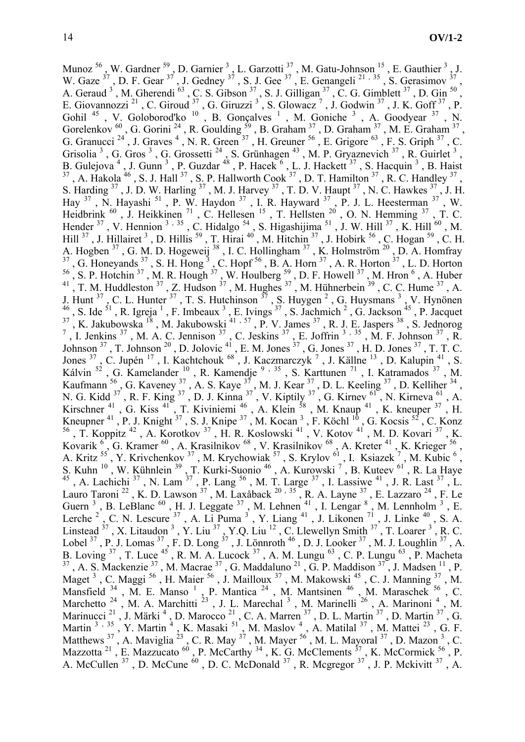Munoz  $^{56}$ , W. Gardner  $^{59}$ , D. Garnier  $^3$ , L. Garzotti  $^{37}$ , M. Gatu-Johnson  $^{15}$ , E. Gauthier  $^3$ , J. W. Gaze  $^{37}$ , D. F. Gear  $^{37}$ , J. Gedney  $^{37}$ , S. J. Gee  $^{37}$ , E. Genangeli  $^{21}$ ,  $^{35}$ , S. Gerasimov  $^{37}$ , A. Geraud  $3^3$ , M. Gherendi  $^{63}$ , C. S. Gibson  $^{37}$ , S. J. Gilligan  $^{37}$ , C. G. Gimblett  $^{37}$ , D. Gin  $^{50}$ , E. Giovannozzi  $^{21}$ , C. Giroud  $^{37}$ , G. Giruzzi  $^3$ , S. Glowacz<sup>7</sup>, J. Godwin  $^{37}$ , J. K. Goff  $^{37}$ , P. Gohil<sup>45</sup>, V. Goloborod'ko<sup>10</sup>, B. Gonçalves<sup>1</sup>, M. Goniche<sup>3</sup>, A. Goodyear<sup>37</sup>, N. Gorelenkov  $^{60}$ , G. Gorini <sup>24</sup>, R. Goulding  $^{59}$ , B. Graham  $^{37}$ , D. Graham  $^{37}$ , M. E. Graham  $^{37}$ , G. Granucci  $^{24}$ , J. Graves  $^4$ , N. R. Green  $^{37}$ , H. Greuner  $^{56}$ , E. Grigore  $^{63}$ , F. S. Griph  $^{37}$ , C. Grisolia<sup>3</sup>, G. Gros<sup>3</sup>, G. Grossetti<sup>24</sup>, S. Grünhagen<sup>43</sup>, M. P. Gryaznevich<sup>37</sup>, R. Guirlet<sup>3</sup>, B. Gulejova<sup>4</sup>, J. Gunn<sup>3</sup>, P. Guzdar<sup>48</sup>, P. Hacek<sup>6</sup>, L. J. Hackett<sup>37</sup>, S. Hacquin<sup>3</sup>, B. Haist  $^{37}$ , A. Hakola  $^{46}$ , S. J. Hall  $^{37}$ , S. P. Hallworth Cook  $^{37}$ , D. T. Hamilton  $^{37}$ , R. C. Handley  $^{37}$ , S. Harding  $^{37}$ , J. D. W. Harling  $^{37}$ , M. J. Harvey  $^{37}$ , T. D. V. Haupt  $^{37}$ , N. C. Hawkes  $^{37}$ , J. H. Hay  $37$ , N. Hayashi  $51$ , P. W. Haydon  $37$ , I. R. Hayward  $37$ , P. J. L. Heesterman  $37$ , W. Heidbrink  $^{60}$ , J. Heikkinen  $^{71}$ , C. Hellesen  $^{15}$ , T. Hellsten  $^{20}$ , O. N. Hemming  $^{37}$ , T. C. Hender  $^{37}$ , V. Hennion  $^3$ ,  $^{35}$ , C. Hidalgo  $^{54}$ , S. Higashijima  $^{51}$ , J. W. Hill  $^{37}$ , K. Hill  $^{60}$ , M. Hill  $^{37}$ , J. Hillairet  $^3$ , D. Hillis  $^{59}$ , T. Hirai  $^{40}$ , M. Hitchin  $^{37}$ , J. Hobirk  $^{56}$ , C. Hogan  $^{59}$ , C. H. A. Hogben  $^{37}$ , G. M. D. Hogeweij  $^{38}$ , I. C. Hollingham  $^{37}$ , K. Holmström  $^{20}$ , D. A. Homfray  $37$ , G. Honeyands  $37$ , S. H. Hong  $3$ , C. Hopf  $56$ , B. A. Horn  $37$ , A. R. Horton  $37$ , L. D. Horton  $^{56}$ , S. P. Hotchin<sup>37</sup>, M. R. Hough<sup>37</sup>, W. Houlberg<sup>59</sup>, D. F. Howell<sup>37</sup>, M. Hron<sup>6</sup>, A. Huber  $^{41}$ , T. M. Huddleston  $^{37}$ , Z. Hudson  $^{37}$ , M. Hughes  $^{37}$ , M. Hühnerbein  $^{39}$ , C. C. Hume  $^{37}$ , A. J. Hunt  $^{37}$ , C. L. Hunter  $^{37}$ , T. S. Hutchinson  $^{37}$ , S. Huygen  $^2$ , G. Huysmans  $^3$ , V. Hynönen  $^{46}$ , S. Ide  $^{51}$ , R. Igreja<sup>1</sup>, F. Imbeaux<sup>3</sup>, E. Ivings<sup>37</sup>, S. Jachmich<sup>2</sup>, G. Jackson<sup>45</sup>, P. Jacquet <sup>37</sup>, K. Jakubowska <sup>18</sup>, M. Jakubowski <sup>41, 57</sup>, P. V. James <sup>37</sup>, R. J. E. Jaspers <sup>38</sup>, S. Jednorog <sup>7</sup>, I. Jenkins <sup>37</sup>, M. A. C. Jennison <sup>37</sup>, C. Jeskins <sup>37</sup>, E. Joffrin <sup>3, 35</sup>, M. F. Johnson <sup>37</sup>, R. Johnson  $^{37}$ , T. Johnson  $^{20}$ , D. Jolovic  $^{41}$ , E. M. Jones  $^{37}$ , G. Jones  $^{37}$ , H. D. Jones  $^{37}$ , T. T. C. Jones  $37$ , C. Jupén  $17$ , I. Kachtchouk  $68$ , J. Kaczmarczyk  $7$ , J. Källne  $13$ , D. Kalupin  $41$ , S. Kálvin  $^{52}$ , G. Kamelander  $^{10}$ , R. Kamendje  $^{9}$ ,  $^{35}$ , S. Karttunen  $^{71}$ , I. Katramados  $^{37}$ , M. Kaufmann  $^{56}$ , G. Kaveney  $^{37}$ , A. S. Kaye  $^{37}$ , M. J. Kear  $^{37}$ , D. L. Keeling  $^{37}$ , D. Kelliher  $^{34}$ , N. G. Kidd  $^{37}$ , R. F. King  $^{37}$ , D. J. Kinna  $^{37}$ , V. Kiptily  $^{37}$ , G. Kirnev  $^{61}$ , N. Kirneva  $^{61}$ , A. Kirschner  $^{41}$ , G. Kiss  $^{41}$ , T. Kiviniemi  $^{46}$ , A. Klein  $^{58}$ , M. Knaup  $^{41}$ , K. kneuper  $^{37}$ , H. Kneupner<sup>41</sup>, P. J. Knight<sup>37</sup>, S. J. Knipe<sup>37</sup>, M. Kocan<sup>3</sup>, F. Köchl<sup>10</sup>, G. Kocsis<sup>52</sup>, C. Konz  $^{56}$ , T. Koppitz  $^{42}$ , A. Korotkov  $^{37}$ , H. R. Koslowski  $^{41}$ , V. Kotov  $^{41}$ , M. D. Kovari  $^{37}$ , K. Kovarik <sup>6</sup>, G. Kramer <sup>60</sup>, A. Krasilnikov <sup>68</sup>, V. Krasilnikov <sup>68</sup>, A. Kreter <sup>41</sup>, K. Krieger <sup>56</sup>, A. Kritz<sup>55</sup>, Y. Krivchenkov<sup>37</sup>, M. Krychowiak<sup>57</sup>, S. Krylov<sup>61</sup>, I. Ksiazek<sup>7</sup>, M. Kubic<sup>6</sup>, S. Kuhn <sup>10</sup>, W. Kühnlein <sup>39</sup>, T. Kurki-Suonio <sup>46</sup>, A. Kurowski<sup>7</sup>, B. Kuteev <sup>61</sup>, R. La Haye <sup>45</sup>, A. Lachichi <sup>37</sup>, N. Lam<sup>37</sup>, P. Lang <sup>56</sup>, M. T. Large <sup>37</sup>, I. Lassiwe <sup>41</sup>, J. R. Last <sup>37</sup>, L. Lauro Taroni<sup>22</sup>, K. D. Lawson<sup>37</sup>, M. Laxåback<sup>20, 35</sup>, R. A. Layne<sup>37</sup>, E. Lazzaro<sup>24</sup>, F. Le Guern  $^3$ , B. LeBlanc  $^{60}$ , H. J. Leggate  $^{37}$ , M. Lehnen  $^{41}$ , I. Lengar  $^8$ , M. Lennholm  $^3$ , E. Lerche<sup>2</sup>, C. N. Lescure<sup>37</sup>, A. Li Puma<sup>3</sup>, Y. Liang<sup>41</sup>, J. Likonen<sup>71</sup>, J. Linke<sup>40</sup>, S. A. Linstead  $37$ , X. Litaudon  $3$ , Y. Liu  $37$ , Y.Q. Liu  $^{12}$ , C. Llewellyn Smith  $37$ , T. Loarer  $3$ , R. C. Lobel  $^{37}$ , P. J. Lomas  $^{37}$ , F. D. Long  $^{37}$ , J. Lönnroth  $^{46}$ , D. J. Looker  $^{37}$ , M. J. Loughlin  $^{37}$ , A. B. Loving  $3^7$ , T. Luce  $4^5$ , R. M. A. Lucock  $3^7$ , A. M. Lungu  $6^3$ , C. P. Lungu  $6^3$ , P. Macheta  $^{37}$ , A. S. Mackenzie  $^{37}$ , M. Macrae  $^{37}$ , G. Maddaluno  $^{21}$ , G. P. Maddison  $^{37}$ , J. Madsen  $^{11}$ , P. Maget<sup>3</sup>, C. Maggi <sup>56</sup>, H. Maier <sup>56</sup>, J. Mailloux<sup>37</sup>, M. Makowski<sup>45</sup>, C. J. Manning<sup>37</sup>, M. Mansfield  $34$ , M. E. Manso  $1$ , P. Mantica  $24$ , M. Mantsinen  $46$ , M. Maraschek  $56$ , C. Marchetto<sup>24</sup>, M. A. Marchitti<sup>23</sup>, J. L. Marechal<sup>3</sup>, M. Marinelli<sup>26</sup>, A. Marinoni<sup>4</sup>, M. Marinucci<sup>21</sup>, J. Märki<sup>4</sup>, D. Marocco<sup>21</sup>, C. A. Marren<sup>37</sup>, D. L. Martin<sup>37</sup>, D. Martin<sup>37</sup>, G. Martin  $3, 35$ , Y. Martin  $4$ , K. Masaki  $51$ , M. Maslov  $4$ , A. Matilal  $37$ , M. Mattei  $23$ , G. F. Matthews  $^{37}$ , A. Maviglia  $^{23}$ , C. R. May  $^{37}$ , M. Mayer  $^{56}$ , M. L. Mayoral  $^{37}$ , D. Mazon  $^3$ , C. Mazzotta  $^{21}$ , E. Mazzucato  $^{60}$ , P. McCarthy  $^{34}$ , K. G. McClements  $^{37}$ , K. McCormick  $^{56}$ , P. A. McCullen  $^{37}$ , D. McCune  $^{60}$ , D. C. McDonald  $^{37}$ , R. Mcgregor  $^{37}$ , J. P. Mckivitt  $^{37}$ , A.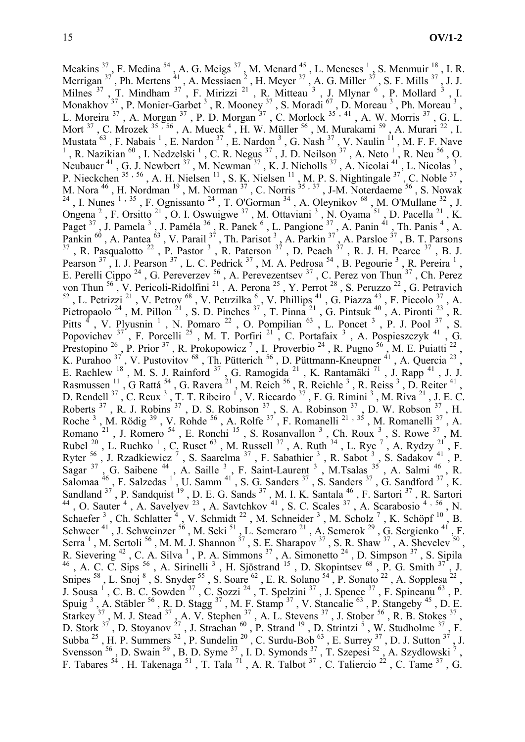Meakins  $^{37}$ , F. Medina  $^{54}$ , A. G. Meigs  $^{37}$ , M. Menard  $^{45}$ , L. Meneses  $^1$ , S. Menmuir  $^{18}$ , I. R. Merrigan  $37$ , Ph. Mertens  $41$ , A. Messiaen  $2$ , H. Meyer  $37$ , A. G. Miller  $37$ , S. F. Mills  $37$ , J. J. Milnes  $3^7$ , T. Mindham  $3^7$ , F. Mirizzi  $2^1$ , R. Mitteau  $3$ , J. Mlynar  $6$ , P. Mollard  $3$ , I. Monakhov  $37$ , P. Monier-Garbet  $3$ , R. Mooney  $37$ , S. Moradi  $67$ , D. Moreau  $3$ , Ph. Moreau  $3$ , L. Moreira  $^{37}$ , A. Morgan  $^{37}$ , P. D. Morgan  $^{37}$ , C. Morlock  $^{35}$ ,  $^{41}$ , A. W. Morris  $^{37}$ , G. L. Mort  $^{37}$ , C. Mrozek  $^{35}$ ,  $^{56}$ , A. Mueck  $^4$ , H. W. Müller  $^{56}$ , M. Murakami  $^{59}$ , A. Murari  $^{22}$ , I. Mustata  $^{63}$ , F. Nabais  $^1$ , E. Nardon  $^{37}$ , E. Nardon  $^3$ , G. Nash  $^{37}$ , V. Naulin  $^{11}$ , M. F. F. Nave  $^1$ , R. Nazikian  $^{60}$ , I. Nedzelski  $^1$ , C. R. Negus  $^{37}$ , J. D. Neilson  $^{37}$ , A. Neto  $^1$ , R. Neu Neubauer  $^{41}$ , G. J. Newbert  $^{37}$ , M. Newman  $^{37}$ , K. J. Nicholls  $^{37}$ , A. Nicolai  $^{41}$ , L. Nicolas  $^3$ , P. Nieckchen  $^{35}$ ,  $^{56}$ , A. H. Nielsen  $^{11}$ , S. K. Nielsen  $^{11}$ , M. P. S. Nightingale  $^{37}$ , C. Noble  $^{37}$ , M. Nora  $^{46}$ , H. Nordman  $^{19}$ , M. Norman  $^{37}$ , C. Norris  $^{35}$ ,  $^{37}$ , J-M. Noterdaeme  $^{56}$ , S. Nowak <sup>24</sup>, I. Nunes <sup>1, 35</sup>, F. Ognissanto <sup>24</sup>, T. O'Gorman <sup>34</sup>, A. Oleynikov <sup>68</sup>, M. O'Mullane <sup>32</sup>, J. Ongena<sup>2</sup>, F. Orsitto<sup>21</sup>, O. I. Oswuigwe<sup>37</sup>, M. Ottaviani<sup>3</sup>, N. Oyama<sup>51</sup>, D. Pacella<sup>21</sup>, K. Paget  $^{37}$ , J. Pamela  $^3$ , J. Paméla  $^{36}$ , R. Panek  $^6$ , L. Pangione  $^{37}$ , A. Panin  $^{41}$ , Th. Panis  $^4$ , A. Pankin  $^{60}$ , A. Pantea  $^{63}$ , V. Parail  $^{37}$ , Th. Parisot  $^3$ , A. Parkin  $^{37}$ , A. Parsloe  $^{37}$ , B. T. Parsons  $37$ , R. Pasqualotto  $22$ , P. Pastor  $3$ , R. Paterson  $37$ , D. Peach  $37$ , R. J. H. Pearce  $37$ , B. J. Pearson  $^{37}$ , I. J. Pearson  $^{37}$ , L. C. Pedrick  $^{37}$ , M. A. Pedrosa  $^{54}$ , B. Pegourie  $^3$ , R. Pereira  $^1$ , E. Perelli Cippo  $^{24}$ , G. Pereverzev  $^{56}$ , A. Perevezentsev  $^{37}$ , C. Perez von Thun  $^{37}$ , Ch. Perez von Thun  $^{56}$ , V. Pericoli-Ridolfini<sup>21</sup>, A. Perona<sup>25</sup>, Y. Perrot<sup>28</sup>, S. Peruzzo<sup>22</sup>, G. Petravich  $^{52}$ , L. Petrizzi<sup>21</sup>, V. Petrov<sup>68</sup>, V. Petrzilka<sup>6</sup>, V. Phillips<sup>41</sup>, G. Piazza<sup>43</sup>, F. Piccolo<sup>37</sup>, A. Pietropaolo  $^{24}$ , M. Pillon  $^{21}$ , S. D. Pinches  $^{37}$ , T. Pinna  $^{21}$ , G. Pintsuk  $^{40}$ , A. Pironti  $^{23}$ , R. Pitts  $\frac{4}{3}$ , V. Plyusnin  $\frac{1}{3}$ , N. Pomaro  $\frac{22}{3}$ , O. Pompilian  $\frac{63}{3}$ , L. Poncet  $\frac{3}{3}$ , P. J. Pool  $\frac{37}{3}$ , S. Popovichev  $37$ , F. Porcelli  $25$ , M. T. Porfiri  $21$ , C. Portafaix  $3$ , A. Pospieszczyk  $41$ , G. Prestopino  $^{26}$ , P. Prior  $^{37}$ , R. Prokopowicz<sup>7</sup>, I. Proverbio  $^{24}$ , R. Pugno  $^{56}$ , M. E. Puiatti  $^{22}$ , K. Purahoo  $37$ , V. Pustovitov  $68$ , Th. Pütterich  $56$ , D. Püttmann-Kneupner  $41$ , A. Quercia  $23$ , E. Rachlew  $^{18}$ , M. S. J. Rainford  $^{37}$ , G. Ramogida  $^{21}$ , K. Rantamäki  $^{71}$ , J. Rapp  $^{41}$ , J. J. Rasmussen  $^{11}$ , G Rattá  $^{54}$ , G. Ravera  $^{21}$ , M. Reich  $^{56}$ , R. Reichle  $^3$ , R. Reiss  $^3$ , D. Reiter  $^{41}$ , D. Rendell  $^{37}$ , C. Reux  $^3$ , T. T. Ribeiro  $^1$ , V. Riccardo  $^{37}$ , F. G. Rimini  $^3$ , M. Riva  $^{21}$ , J. E. C. Roberts  $37$ , R. J. Robins  $37$ , D. S. Robinson  $37$ , S. A. Robinson  $37$ , D. W. Robson  $37$ , H. Roche<sup>3</sup>, M. Rödig<sup>39</sup>, V. Rohde<sup>56</sup>, A. Rolfe<sup>37</sup>, F. Romanelli<sup>21, 35</sup>, M. Romanelli<sup>37</sup>, A. Romano<sup>21</sup>, J. Romero<sup>54</sup>, E. Ronchi<sup>15</sup>, S. Rosanvallon<sup>3</sup>, Ch. Roux<sup>3</sup>, S. Rowe<sup>37</sup>, M. Rubel  $^{20}$ , L. Ruchko  $^1$ , C. Ruset  $^{63}$ , M. Russell  $^{37}$ , A. Ruth  $^{34}$ , L. Ryc  $^7$ , A. Rydzy  $^{21}$ , F. Ryter  $^{56}$ , J. Rzadkiewicz<sup>7</sup>, S. Saarelma<sup>37</sup>, F. Sabathier<sup>3</sup>, R. Sabot<sup>3</sup>, S. Sadakov<sup>41</sup>, P. Sagar  $37$ , G. Saibene  $44$ , A. Saille  $3$ , F. Saint-Laurent  $3$ , M. Tsalas  $35$ , A. Salmi  $46$ , R. Salomaa<sup>46</sup>, F. Salzedas<sup>1</sup>, U. Samm<sup>41</sup>, S. G. Sanders<sup>37</sup>, S. Sanders<sup>37</sup>, G. Sandford<sup>37</sup>, K. Sandland <sup>37</sup>, P. Sandquist<sup>19</sup>, D. E. G. Sands <sup>37</sup>, M. I. K. Santala <sup>46</sup>, F. Sartori <sup>37</sup>, R. Sartori <sup>44</sup>, O. Sauter <sup>4</sup>, A. Savelyev<sup>23</sup>, A. Savtchkov<sup>41</sup>, S. C. Scales <sup>37</sup>, A. Scarabosio<sup>4, 56</sup>, N. Schaefer<sup>3</sup>, Ch. Schlatter<sup>4</sup>, V. Schmidt<sup>22</sup>, M. Schneider<sup>3</sup>, M. Scholz<sup>7</sup>, K. Schöpf<sup>10</sup>, B. Schweer  $^{41}$ , J. Schweinzer  $^{56}$ , M. Seki  $^{51}$ , L. Semeraro  $^{21}$ , A. Semerok  $^{29}$ , G. Sergienko  $^{41}$ , F. Serra <sup>1</sup>, M. Sertoli <sup>56</sup>, M. M. J. Shannon  $37$ , S. E. Sharapov  $37$ , S. R. Shaw  $37$ , A. Shevelev  $50$ , R. Sievering  $42$ , C. A. Silva  $1$ , P. A. Simmons  $37$ , A. Simonetto  $24$ , D. Simpson  $37$ , S. Sipila  $^{46}$ , A. C. C. Sips  $^{56}$ , A. Sirinelli<sup>3</sup>, H. Sjöstrand<sup>15</sup>, D. Skopintsev<sup>68</sup>, P. G. Smith<sup>37</sup>, J. Snipes  $^{58}$ , L. Snoj  $^8$ , S. Snyder  $^{55}$ , S. Soare  $^{62}$ , E. R. Solano  $^{54}$ , P. Sonato  $^{22}$ , A. Sopplesa  $^{22}$ , J. Sousa<sup>1</sup>, C. B. C. Sowden  $3^7$ , C. Sozzi  $2^4$ , T. Spelzini  $3^7$ , J. Spence  $3^7$ , F. Spineanu  $6^3$ , P. Spuig<sup>3</sup>, A. Stäbler <sup>56</sup>, R. D. Stagg<sup>37</sup>, M. F. Stamp<sup>37</sup>, V. Stancalie <sup>63</sup>, P. Stangeby <sup>45</sup>, D. E. Starkey  $37$ , M. J. Stead  $37$ , A. V. Stephen  $37$ , A. L. Stevens  $37$ , J. Stober  $56$ , R. B. Stokes  $37$ , D. Stork  $3^7$ , D. Stoyanov  $2^7$ , J. Strachan  $60$ , P. Strand  $1^9$ , D. Strintzi  $^5$ , W. Studholme  $3^7$ , F. Subba  $^{25}$ , H. P. Summers  $^{32}$ , P. Sundelin  $^{20}$ , C. Surdu-Bob  $^{63}$ , E. Surrey  $^{37}$ , D. J. Sutton  $^{37}$ , J. Svensson  $^{56}$ , D. Swain  $^{59}$ , B. D. Syme  $^{37}$ , I. D. Symonds  $^{37}$ , T. Szepesi  $^{52}$ , A. Szydlowski  $^{7}$ , F. Tabares  $^{54}$ , H. Takenaga  $^{51}$ , T. Tala  $^{71}$ , A. R. Talbot  $^{37}$ , C. Taliercio  $^{22}$ , C. Tame  $^{37}$ , G.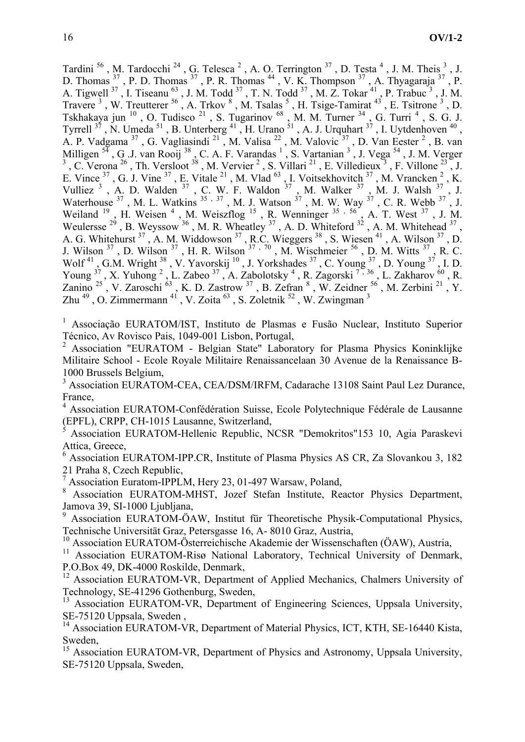Tardini  $^{56}$ , M. Tardocchi  $^{24}$ , G. Telesca  $^2$ , A. O. Terrington  $^{37}$ , D. Testa  $^4$ , J. M. Theis  $^3$ , J. D. Thomas  $^{37}$ , P. D. Thomas  $^{37}$ , P. R. Thomas  $^{44}$ , V. K. Thompson  $^{37}$ , A. Thyagaraja  $^{37}$ , P. A. Tigwell  $^{37}$ , I. Tiseanu  $^{63}$ , J. M. Todd  $^{37}$ , T. N. Todd  $^{37}$ , M. Z. Tokar  $^{41}$ , P. Trabuc  $^{3}$ , J. M. Travere  $^3$ , W. Treutterer  $^{56}$ , A. Trkov  $^8$ , M. Tsalas  $^5$ , H. Tsige-Tamirat  $^{43}$ , E. Tsitrone  $^3$ , D. Tskhakaya jun  $^{10}$ , O. Tudisco  $^{21}$ , S. Tugarinov  $^{68}$ , M. M. Turner  $^{34}$ , G. Turri  $^{4}$ , S. G. J. Tyrrell  $^{37}$ , N. Umeda  $^{51}$ , B. Unterberg  $^{41}$ , H. Urano  $^{51}$ , A. J. Urquhart  $^{37}$ , I. Uytdenhoven  $^{40}$ , A. P. Vadgama <sup>37</sup>, G. Vagliasindi <sup>21</sup>, M. Valisa <sup>22</sup>, M. Valovic <sup>37</sup>, D. Van Eester <sup>2</sup>, B. van Milligen  $^{5\bar{4}}$ , G .J. van Rooij  $^{38}$ , C. A. F. Varandas  $^1$ , S. Vartanian  $^3$ , J. Vega  $^{54}$ , J. M. Verger  $^3$ , C. Verona  $^{26}$ , Th. Versloot  $^{38}$ , M. Vervier  $^2$ , S. Villari  $^{21}$ , E. Villedieux  $^3$ , F. V E. Vince  $^{37}$ , G. J. Vine  $^{37}$ , E. Vitale  $^{21}$ , M. Vlad  $^{63}$ , I. Voitsekhovitch  $^{37}$ , M. Vrancken  $^2$ , K. Vulliez  $^3$ , A. D. Walden  $^{37}$ , C. W. F. Waldon  $^{37}$ , M. Walker  $^{37}$ , M. J. Walsh  $^{37}$ , J. Waterhouse  $37$ , M. L. Watkins  $35$ ,  $37$ , M. J. Watson  $37$ , M. W. Way  $37$ , C. R. Webb  $37$ , J. Weiland  $^{19}$ , H. Weisen  $^4$ , M. Weiszflog  $^{15}$ , R. Wenninger  $^{35}$ ,  $^{56}$ , A. T. West  $^{37}$ , J. M. Weulersse  $^{29}$  , B. Weyssow  $^{36}$  , M. R. Wheatley  $^{37}$  , A. D. Whiteford  $^{32}$  , A. M. Whitehead  $^{37}$  , A. G. Whitehurst  $^{37}$ , A. M. Widdowson  $^{37}$ , R.C. Wieggers  $^{38}$ , S. Wiesen  $^{41}$ , A. Wilson  $^{37}$ , D. J. Wilson  $37$ , D. Wilson  $37$ , H. R. Wilson  $37$ ,  $70$ , M. Wischmeier  $56$ , D. M. Witts  $37$ , R. C. Wolf<sup>41</sup>, G.M. Wright <sup>38</sup>, V. Yavorskij<sup>10</sup>, J. Yorkshades  $37$ , C. Young  $37$ , D. Young  $37$ , I. D. Young  $37$ , X. Yuhong  $2$ , L. Zabeo  $37$ , A. Zabolotsky  $4$ , R. Zagorski  $7, 36$ , L. Zakharov  $60$ , R. Zanino  $^{25}$ , V. Zaroschi $^{63}$ , K. D. Zastrow  $^{37}$ , B. Zefran  $^8$ , W. Zeidner  $^{56}$ , M. Zerbini  $^{21}$ , Y. Zhu<sup>49</sup>, O. Zimmermann<sup>41</sup>, V. Zoita<sup>63</sup>, S. Zoletnik<sup>52</sup>, W. Zwingman<sup>3</sup>

<sup>1</sup> Associação EURATOM/IST, Instituto de Plasmas e Fusão Nuclear, Instituto Superior Técnico, Av Rovisco Pais, 1049-001 Lisbon, Portugal,

<sup>2</sup> Association "EURATOM - Belgian State" Laboratory for Plasma Physics Koninklijke Militaire School - Ecole Royale Militaire Renaissancelaan 30 Avenue de la Renaissance B-1000 Brussels Belgium,

<sup>3</sup> Association EURATOM-CEA, CEA/DSM/IRFM, Cadarache 13108 Saint Paul Lez Durance, France,

<sup>4</sup> Association EURATOM-Confédération Suisse, Ecole Polytechnique Fédérale de Lausanne (EPFL), CRPP, CH-1015 Lausanne, Switzerland,

5 Association EURATOM-Hellenic Republic, NCSR "Demokritos"153 10, Agia Paraskevi Attica, Greece,

6 Association EURATOM-IPP.CR, Institute of Plasma Physics AS CR, Za Slovankou 3, 182 21 Praha 8, Czech Republic,

7 Association Euratom-IPPLM, Hery 23, 01-497 Warsaw, Poland,

8 Association EURATOM-MHST, Jozef Stefan Institute, Reactor Physics Department, Jamova 39, SI-1000 Ljubljana.

9 Association EURATOM-ÖAW, Institut für Theoretische Physik-Computational Physics, Technische Universität Graz, Petersgasse 16, A- 8010 Graz, Austria,

 $10$  Association EURATOM-Österreichische Akademie der Wissenschaften (ÖAW), Austria,

<sup>11</sup> Association EURATOM-Risø National Laboratory, Technical University of Denmark, P.O.Box 49, DK-4000 Roskilde, Denmark,

<sup>12</sup> Association EURATOM-VR, Department of Applied Mechanics, Chalmers University of Technology, SE-41296 Gothenburg, Sweden,

<sup>13</sup> Association EURATOM-VR, Department of Engineering Sciences, Uppsala University, SE-75120 Uppsala, Sweden ,

<sup>14</sup> Association EURATOM-VR, Department of Material Physics, ICT, KTH, SE-16440 Kista, Sweden,

<sup>15</sup> Association EURATOM-VR, Department of Physics and Astronomy, Uppsala University, SE-75120 Uppsala, Sweden,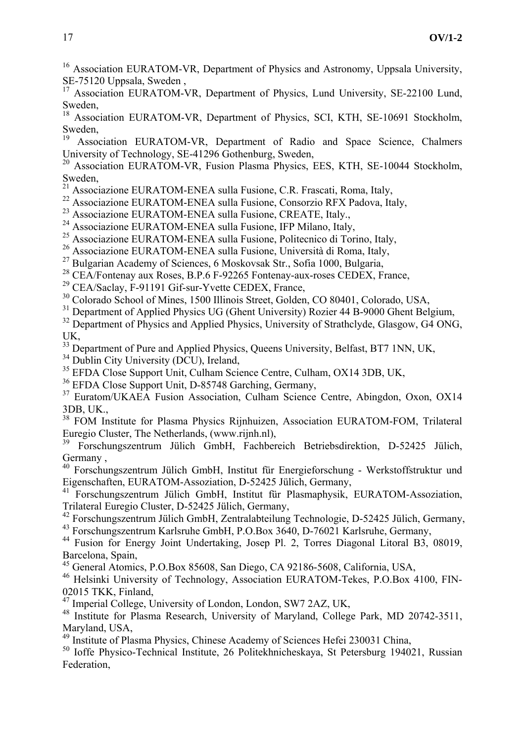- <sup>16</sup> Association EURATOM-VR, Department of Physics and Astronomy, Uppsala University, SE-75120 Uppsala, Sweden ,
- <sup>17</sup> Association EURATOM-VR, Department of Physics, Lund University, SE-22100 Lund, Sweden,
- <sup>18</sup> Association EURATOM-VR, Department of Physics, SCI, KTH, SE-10691 Stockholm, Sweden,
- Association EURATOM-VR, Department of Radio and Space Science, Chalmers University of Technology, SE-41296 Gothenburg, Sweden,
- <sup>20</sup> Association EURATOM-VR, Fusion Plasma Physics, EES, KTH, SE-10044 Stockholm, Sweden,
- <sup>21</sup> Associazione EURATOM-ENEA sulla Fusione, C.R. Frascati, Roma, Italy,
- 22 Associazione EURATOM-ENEA sulla Fusione, Consorzio RFX Padova, Italy,
- 23 Associazione EURATOM-ENEA sulla Fusione, CREATE, Italy.,
- 24 Associazione EURATOM-ENEA sulla Fusione, IFP Milano, Italy,
- 25 Associazione EURATOM-ENEA sulla Fusione, Politecnico di Torino, Italy,
- 26 Associazione EURATOM-ENEA sulla Fusione, Università di Roma, Italy,
- 27 Bulgarian Academy of Sciences, 6 Moskovsak Str., Sofia 1000, Bulgaria,
- <sup>28</sup> CEA/Fontenay aux Roses, B.P.6 F-92265 Fontenay-aux-roses CEDEX, France,
- 29 CEA/Saclay, F-91191 Gif-sur-Yvette CEDEX, France,
- 30 Colorado School of Mines, 1500 Illinois Street, Golden, CO 80401, Colorado, USA,
- <sup>31</sup> Department of Applied Physics UG (Ghent University) Rozier 44 B-9000 Ghent Belgium,
- $32$  Department of Physics and Applied Physics, University of Strathclyde, Glasgow, G4 ONG, UK,
- <sup>33</sup> Department of Pure and Applied Physics, Queens University, Belfast, BT7 1NN, UK,
- <sup>34</sup> Dublin City University (DCU), Ireland,
- <sup>35</sup> EFDA Close Support Unit, Culham Science Centre, Culham, OX14 3DB, UK,
- 36 EFDA Close Support Unit, D-85748 Garching, Germany,
- <sup>37</sup> Euratom/UKAEA Fusion Association, Culham Science Centre, Abingdon, Oxon, OX14 3DB, UK.,
- <sup>38</sup> FOM Institute for Plasma Physics Rijnhuizen, Association EURATOM-FOM, Trilateral Euregio Cluster, The Netherlands, (www.rijnh.nl),
- <sup>39</sup> Forschungszentrum Jülich GmbH, Fachbereich Betriebsdirektion, D-52425 Jülich, Germany ,
- 40 Forschungszentrum Jülich GmbH, Institut für Energieforschung Werkstoffstruktur und Eigenschaften, EURATOM-Assoziation, D-52425 Jülich, Germany,
- 41 Forschungszentrum Jülich GmbH, Institut für Plasmaphysik, EURATOM-Assoziation, Trilateral Euregio Cluster, D-52425 Jülich, Germany,
- 42 Forschungszentrum Jülich GmbH, Zentralabteilung Technologie, D-52425 Jülich, Germany,
- 43 Forschungszentrum Karlsruhe GmbH, P.O.Box 3640, D-76021 Karlsruhe, Germany,
- <sup>44</sup> Fusion for Energy Joint Undertaking, Josep Pl. 2, Torres Diagonal Litoral B3, 08019, Barcelona, Spain,
- 45 General Atomics, P.O.Box 85608, San Diego, CA 92186-5608, California, USA,
- 46 Helsinki University of Technology, Association EURATOM-Tekes, P.O.Box 4100, FIN-02015 TKK, Finland,
- 47 Imperial College, University of London, London, SW7 2AZ, UK,
- 48 Institute for Plasma Research, University of Maryland, College Park, MD 20742-3511, Maryland, USA,
- 49 Institute of Plasma Physics, Chinese Academy of Sciences Hefei 230031 China,
- 50 Ioffe Physico-Technical Institute, 26 Politekhnicheskaya, St Petersburg 194021, Russian Federation,